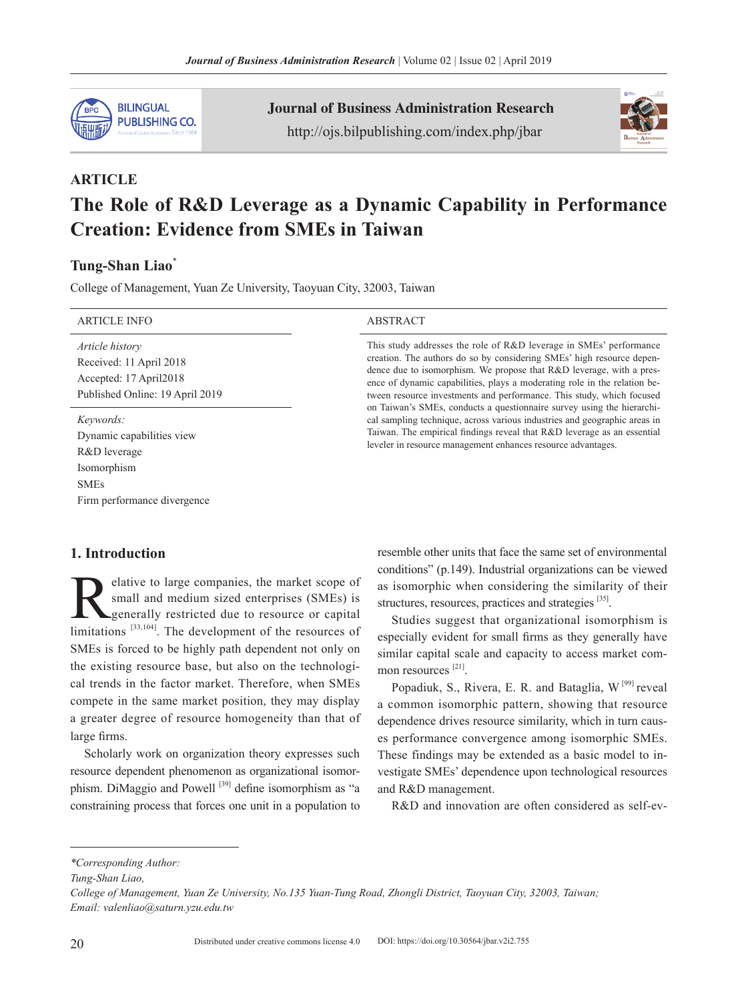

Journal of Business Administration Research http://ojs.bilpublishing.com/index.php/jbar



# **ARTICLE The Role of R&D Leverage as a Dynamic Capability in Performance Creation: Evidence from SMEs in Taiwan**

# **Tung-Shan Liao**\*

College of Management, Yuan Ze University, Taoyuan City, 32003, Taiwan

| <b>ARTICLE INFO</b>                                                                                                 | <b>ABSTRACT</b>                                                                                                                                                                                                                                                                                                                                                           |
|---------------------------------------------------------------------------------------------------------------------|---------------------------------------------------------------------------------------------------------------------------------------------------------------------------------------------------------------------------------------------------------------------------------------------------------------------------------------------------------------------------|
| <i>Article history</i><br>Received: 11 April 2018<br>Accepted: 17 April 2018<br>Published Online: 19 April 2019     | This study addresses the role of R&D leverage in SMEs' performance<br>creation. The authors do so by considering SMEs' high resource depen-<br>dence due to isomorphism. We propose that R&D leverage, with a pres-<br>ence of dynamic capabilities, plays a moderating role in the relation be-<br>tween resource investments and performance. This study, which focused |
| Keywords:<br>Dynamic capabilities view<br>R&D leverage<br>Isomorphism<br><b>SMEs</b><br>Firm performance divergence | on Taiwan's SMEs, conducts a questionnaire survey using the hierarchi-<br>cal sampling technique, across various industries and geographic areas in<br>Taiwan. The empirical findings reveal that R&D leverage as an essential<br>leveler in resource management enhances resource advantages.                                                                            |

# **1. Introduction**

Elative to large companies, the market scope of<br>small and medium sized enterprises (SMEs) is<br>generally restricted due to resource or capital<br>limitations [33,104]. The development of the resources of small and medium sized enterprises (SMEs) is generally restricted due to resource or capital limitations  $^{[33,104]}$ . The development of the resources of SMEs is forced to be highly path dependent not only on the existing resource base, but also on the technological trends in the factor market. Therefore, when SMEs compete in the same market position, they may display a greater degree of resource homogeneity than that of large firms.

Scholarly work on organization theory expresses such resource dependent phenomenon as organizational isomorphism. DiMaggio and Powell<sup>[39]</sup> define isomorphism as "a constraining process that forces one unit in a population to resemble other units that face the same set of environmental conditions" (p.149). Industrial organizations can be viewed as isomorphic when considering the similarity of their structures, resources, practices and strategies [35].

Studies suggest that organizational isomorphism is especially evident for small firms as they generally have similar capital scale and capacity to access market common resources<sup>[21]</sup>.

Popadiuk, S., Rivera, E. R. and Bataglia,  $W^{[99]}$  reveal a common isomorphic pattern, showing that resource dependence drives resource similarity, which in turn causes performance convergence among isomorphic SMEs. These findings may be extended as a basic model to investigate SMEs' dependence upon technological resources and R&D management.

R&D and innovation are often considered as self-ev-

*<sup>\*</sup>Corresponding Author:*

*Tung-Shan Liao,*

*College of Management, Yuan Ze University, No.135 Yuan-Tung Road, Zhongli District, Taoyuan City, 32003, Taiwan; Email: valenliao@saturn.yzu.edu.tw*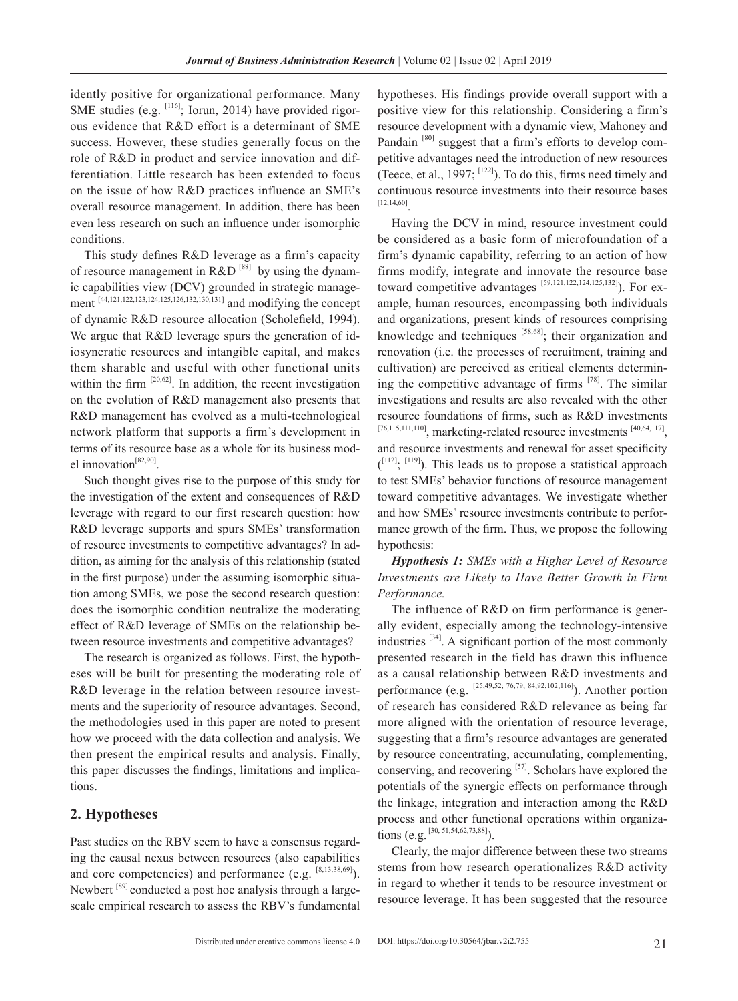idently positive for organizational performance. Many SME studies (e.g. <sup>[116]</sup>; Iorun, 2014) have provided rigorous evidence that R&D effort is a determinant of SME success. However, these studies generally focus on the role of R&D in product and service innovation and differentiation. Little research has been extended to focus on the issue of how R&D practices influence an SME's overall resource management. In addition, there has been even less research on such an influence under isomorphic conditions.

This study defines R&D leverage as a firm's capacity of resource management in R&D  $[88]$  by using the dynamic capabilities view (DCV) grounded in strategic management [44,121,122,123,124,125,126,132,130,131] and modifying the concept of dynamic R&D resource allocation (Scholefield, 1994). We argue that R&D leverage spurs the generation of idiosyncratic resources and intangible capital, and makes them sharable and useful with other functional units within the firm  $[20,62]$ . In addition, the recent investigation on the evolution of R&D management also presents that R&D management has evolved as a multi-technological network platform that supports a firm's development in terms of its resource base as a whole for its business model innovation<sup>[82,90]</sup>

Such thought gives rise to the purpose of this study for the investigation of the extent and consequences of R&D leverage with regard to our first research question: how R&D leverage supports and spurs SMEs' transformation of resource investments to competitive advantages? In addition, as aiming for the analysis of this relationship (stated in the first purpose) under the assuming isomorphic situation among SMEs, we pose the second research question: does the isomorphic condition neutralize the moderating effect of R&D leverage of SMEs on the relationship between resource investments and competitive advantages?

The research is organized as follows. First, the hypotheses will be built for presenting the moderating role of R&D leverage in the relation between resource investments and the superiority of resource advantages. Second, the methodologies used in this paper are noted to present how we proceed with the data collection and analysis. We then present the empirical results and analysis. Finally, this paper discusses the findings, limitations and implications.

# **2. Hypotheses**

Past studies on the RBV seem to have a consensus regarding the causal nexus between resources (also capabilities and core competencies) and performance (e.g. [8,13,38,69]). Newbert<sup>[89]</sup> conducted a post hoc analysis through a largescale empirical research to assess the RBV's fundamental hypotheses. His findings provide overall support with a positive view for this relationship. Considering a firm's resource development with a dynamic view, Mahoney and Pandain [80] suggest that a firm's efforts to develop competitive advantages need the introduction of new resources (Teece, et al., 1997;  $[122]$ ). To do this, firms need timely and continuous resource investments into their resource bases [12,14,60].

Having the DCV in mind, resource investment could be considered as a basic form of microfoundation of a firm's dynamic capability, referring to an action of how firms modify, integrate and innovate the resource base toward competitive advantages  $[59,121,122,124,125,132]$ ). For example, human resources, encompassing both individuals and organizations, present kinds of resources comprising knowledge and techniques [58,68]; their organization and renovation (i.e. the processes of recruitment, training and cultivation) are perceived as critical elements determining the competitive advantage of firms  $[78]$ . The similar investigations and results are also revealed with the other resource foundations of firms, such as R&D investments [76,115,111,110], marketing-related resource investments [40,64,117], and resource investments and renewal for asset specificity  $($ <sup>[112]</sup>; <sup>[119]</sup>). This leads us to propose a statistical approach to test SMEs' behavior functions of resource management toward competitive advantages. We investigate whether and how SMEs' resource investments contribute to performance growth of the firm. Thus, we propose the following hypothesis:

## *Hypothesis 1: SMEs with a Higher Level of Resource Investments are Likely to Have Better Growth in Firm Performance.*

The influence of R&D on firm performance is generally evident, especially among the technology-intensive industries [34]. A significant portion of the most commonly presented research in the field has drawn this influence as a causal relationship between R&D investments and performance (e.g.  $[25,49,52; 76,79; 84,92;102;116]$ ). Another portion of research has considered R&D relevance as being far more aligned with the orientation of resource leverage, suggesting that a firm's resource advantages are generated by resource concentrating, accumulating, complementing, conserving, and recovering [57]. Scholars have explored the potentials of the synergic effects on performance through the linkage, integration and interaction among the R&D process and other functional operations within organizations (e.g. [30, 51,54,62,73,88]).

Clearly, the major difference between these two streams stems from how research operationalizes R&D activity in regard to whether it tends to be resource investment or resource leverage. It has been suggested that the resource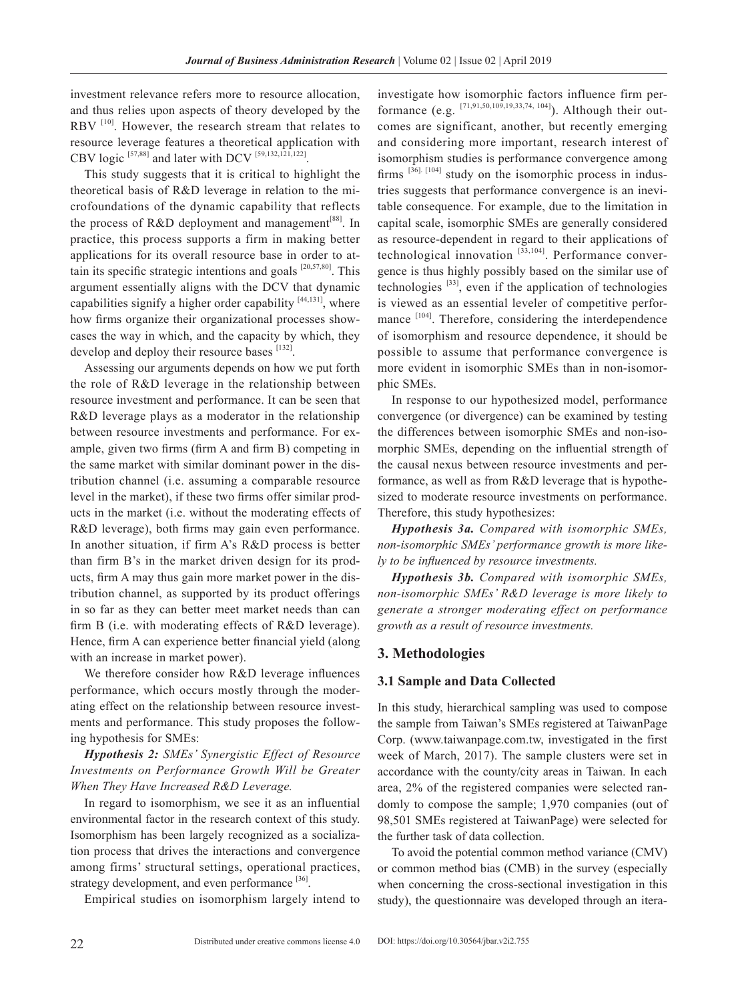investment relevance refers more to resource allocation, and thus relies upon aspects of theory developed by the RBV<sup>[10]</sup>. However, the research stream that relates to resource leverage features a theoretical application with CBV logic [57,88] and later with DCV [59,132,121,122].

This study suggests that it is critical to highlight the theoretical basis of R&D leverage in relation to the microfoundations of the dynamic capability that reflects the process of R&D deployment and management<sup>[88]</sup>. In practice, this process supports a firm in making better applications for its overall resource base in order to attain its specific strategic intentions and goals  $[20,57,80]$ . This argument essentially aligns with the DCV that dynamic capabilities signify a higher order capability  $[44,131]$ , where how firms organize their organizational processes showcases the way in which, and the capacity by which, they develop and deploy their resource bases [132].

Assessing our arguments depends on how we put forth the role of R&D leverage in the relationship between resource investment and performance. It can be seen that R&D leverage plays as a moderator in the relationship between resource investments and performance. For example, given two firms (firm A and firm B) competing in the same market with similar dominant power in the distribution channel (i.e. assuming a comparable resource level in the market), if these two firms offer similar products in the market (i.e. without the moderating effects of R&D leverage), both firms may gain even performance. In another situation, if firm A's R&D process is better than firm B's in the market driven design for its products, firm A may thus gain more market power in the distribution channel, as supported by its product offerings in so far as they can better meet market needs than can firm B (i.e. with moderating effects of R&D leverage). Hence, firm A can experience better financial yield (along with an increase in market power).

We therefore consider how R&D leverage influences performance, which occurs mostly through the moderating effect on the relationship between resource investments and performance. This study proposes the following hypothesis for SMEs:

*Hypothesis 2: SMEs' Synergistic Effect of Resource Investments on Performance Growth Will be Greater When They Have Increased R&D Leverage.*

In regard to isomorphism, we see it as an influential environmental factor in the research context of this study. Isomorphism has been largely recognized as a socialization process that drives the interactions and convergence among firms' structural settings, operational practices, strategy development, and even performance [36].

Empirical studies on isomorphism largely intend to

investigate how isomorphic factors influence firm performance (e.g.  $^{[71,91,50,109,19,33,74,104]}$ ). Although their outcomes are significant, another, but recently emerging and considering more important, research interest of isomorphism studies is performance convergence among firms  $[36]$ .  $[104]$  study on the isomorphic process in industries suggests that performance convergence is an inevitable consequence. For example, due to the limitation in capital scale, isomorphic SMEs are generally considered as resource-dependent in regard to their applications of technological innovation [33,104]. Performance convergence is thus highly possibly based on the similar use of technologies  $[33]$ , even if the application of technologies is viewed as an essential leveler of competitive performance [104]. Therefore, considering the interdependence of isomorphism and resource dependence, it should be possible to assume that performance convergence is more evident in isomorphic SMEs than in non-isomorphic SMEs.

In response to our hypothesized model, performance convergence (or divergence) can be examined by testing the differences between isomorphic SMEs and non-isomorphic SMEs, depending on the influential strength of the causal nexus between resource investments and performance, as well as from R&D leverage that is hypothesized to moderate resource investments on performance. Therefore, this study hypothesizes:

*Hypothesis 3a. Compared with isomorphic SMEs, non-isomorphic SMEs' performance growth is more likely to be influenced by resource investments.* 

*Hypothesis 3b. Compared with isomorphic SMEs, non-isomorphic SMEs' R&D leverage is more likely to generate a stronger moderating effect on performance growth as a result of resource investments.*

## **3. Methodologies**

## **3.1 Sample and Data Collected**

In this study, hierarchical sampling was used to compose the sample from Taiwan's SMEs registered at TaiwanPage Corp. (www.taiwanpage.com.tw, investigated in the first week of March, 2017). The sample clusters were set in accordance with the county/city areas in Taiwan. In each area, 2% of the registered companies were selected randomly to compose the sample; 1,970 companies (out of 98,501 SMEs registered at TaiwanPage) were selected for the further task of data collection.

To avoid the potential common method variance (CMV) or common method bias (CMB) in the survey (especially when concerning the cross-sectional investigation in this study), the questionnaire was developed through an itera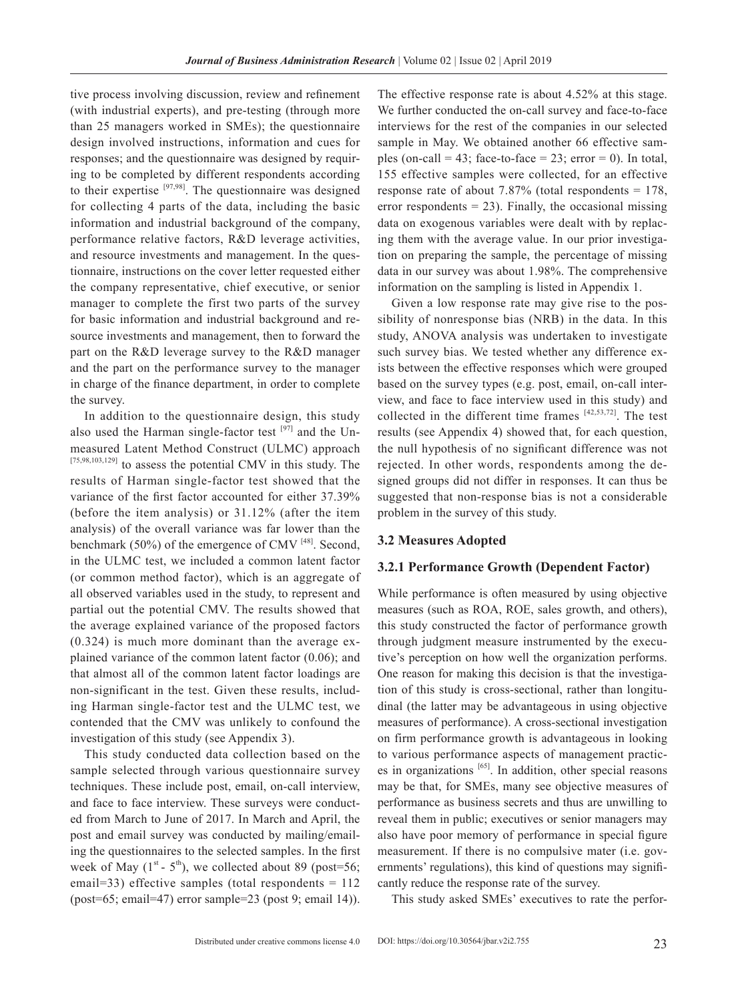tive process involving discussion, review and refinement (with industrial experts), and pre-testing (through more than 25 managers worked in SMEs); the questionnaire design involved instructions, information and cues for responses; and the questionnaire was designed by requiring to be completed by different respondents according to their expertise [97,98]. The questionnaire was designed for collecting 4 parts of the data, including the basic information and industrial background of the company, performance relative factors, R&D leverage activities, and resource investments and management. In the questionnaire, instructions on the cover letter requested either the company representative, chief executive, or senior manager to complete the first two parts of the survey for basic information and industrial background and resource investments and management, then to forward the part on the R&D leverage survey to the R&D manager and the part on the performance survey to the manager in charge of the finance department, in order to complete the survey.

In addition to the questionnaire design, this study also used the Harman single-factor test  $[97]$  and the Unmeasured Latent Method Construct (ULMC) approach [75,98,103,129] to assess the potential CMV in this study. The results of Harman single-factor test showed that the variance of the first factor accounted for either 37.39% (before the item analysis) or 31.12% (after the item analysis) of the overall variance was far lower than the benchmark (50%) of the emergence of CMV  $^{[48]}$ . Second, in the ULMC test, we included a common latent factor (or common method factor), which is an aggregate of all observed variables used in the study, to represent and partial out the potential CMV. The results showed that the average explained variance of the proposed factors (0.324) is much more dominant than the average explained variance of the common latent factor (0.06); and that almost all of the common latent factor loadings are non-significant in the test. Given these results, including Harman single-factor test and the ULMC test, we contended that the CMV was unlikely to confound the investigation of this study (see Appendix 3).

This study conducted data collection based on the sample selected through various questionnaire survey techniques. These include post, email, on-call interview, and face to face interview. These surveys were conducted from March to June of 2017. In March and April, the post and email survey was conducted by mailing/emailing the questionnaires to the selected samples. In the first week of May  $(1^{st} - 5^{th})$ , we collected about 89 (post=56; email=33) effective samples (total respondents  $= 112$ (post=65; email=47) error sample=23 (post 9; email 14)).

The effective response rate is about 4.52% at this stage. We further conducted the on-call survey and face-to-face interviews for the rest of the companies in our selected sample in May. We obtained another 66 effective samples (on-call = 43; face-to-face =  $23$ ; error = 0). In total, 155 effective samples were collected, for an effective response rate of about 7.87% (total respondents = 178, error respondents  $= 23$ ). Finally, the occasional missing data on exogenous variables were dealt with by replacing them with the average value. In our prior investigation on preparing the sample, the percentage of missing data in our survey was about 1.98%. The comprehensive information on the sampling is listed in Appendix 1.

Given a low response rate may give rise to the possibility of nonresponse bias (NRB) in the data. In this study, ANOVA analysis was undertaken to investigate such survey bias. We tested whether any difference exists between the effective responses which were grouped based on the survey types (e.g. post, email, on-call interview, and face to face interview used in this study) and collected in the different time frames  $[42,53,72]$ . The test results (see Appendix 4) showed that, for each question, the null hypothesis of no significant difference was not rejected. In other words, respondents among the designed groups did not differ in responses. It can thus be suggested that non-response bias is not a considerable problem in the survey of this study.

#### **3.2 Measures Adopted**

#### **3.2.1 Performance Growth (Dependent Factor)**

While performance is often measured by using objective measures (such as ROA, ROE, sales growth, and others), this study constructed the factor of performance growth through judgment measure instrumented by the executive's perception on how well the organization performs. One reason for making this decision is that the investigation of this study is cross-sectional, rather than longitudinal (the latter may be advantageous in using objective measures of performance). A cross-sectional investigation on firm performance growth is advantageous in looking to various performance aspects of management practices in organizations [65]. In addition, other special reasons may be that, for SMEs, many see objective measures of performance as business secrets and thus are unwilling to reveal them in public; executives or senior managers may also have poor memory of performance in special figure measurement. If there is no compulsive mater (i.e. governments' regulations), this kind of questions may significantly reduce the response rate of the survey.

This study asked SMEs' executives to rate the perfor-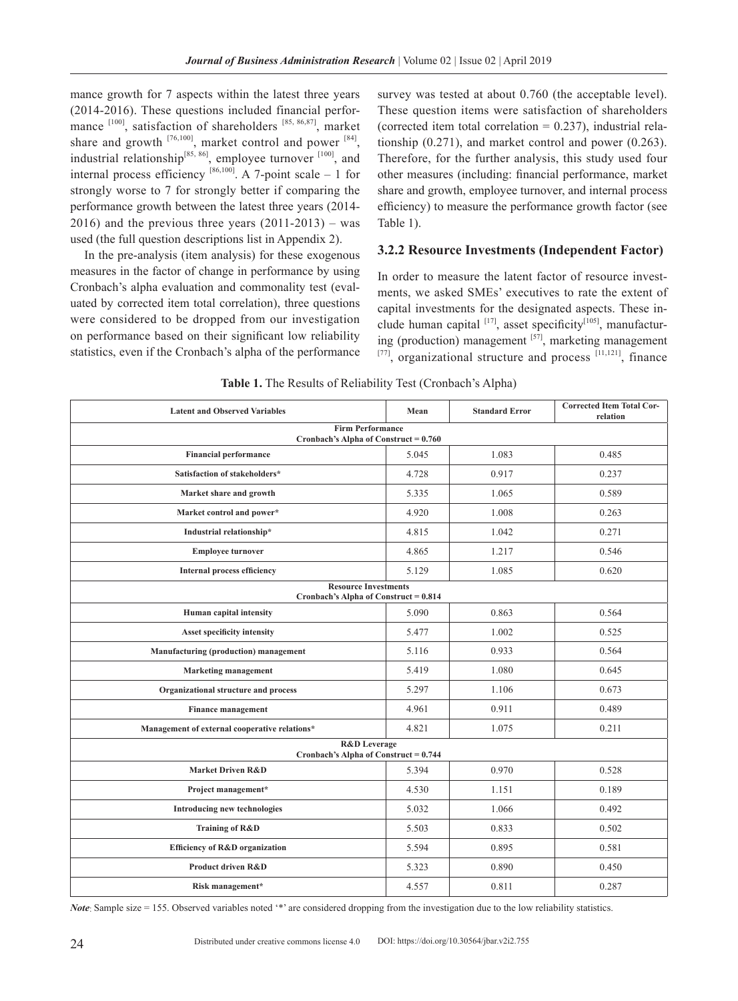mance growth for 7 aspects within the latest three years (2014-2016). These questions included financial performance  $^{[100]}$ , satisfaction of shareholders  $^{[85, 86, 87]}$ , market share and growth  $^{[76,100]}$ , market control and power  $^{[84]}$ , industrial relationship<sup>[85, 86]</sup>, employee turnover  $[100]$ , and internal process efficiency  $[86,100]$ . A 7-point scale – 1 for strongly worse to 7 for strongly better if comparing the performance growth between the latest three years (2014-  $2016$ ) and the previous three years  $(2011-2013)$  – was used (the full question descriptions list in Appendix 2).

In the pre-analysis (item analysis) for these exogenous measures in the factor of change in performance by using Cronbach's alpha evaluation and commonality test (evaluated by corrected item total correlation), three questions were considered to be dropped from our investigation on performance based on their significant low reliability statistics, even if the Cronbach's alpha of the performance survey was tested at about 0.760 (the acceptable level). These question items were satisfaction of shareholders (corrected item total correlation  $= 0.237$ ), industrial relationship (0.271), and market control and power (0.263). Therefore, for the further analysis, this study used four other measures (including: financial performance, market share and growth, employee turnover, and internal process efficiency) to measure the performance growth factor (see Table 1).

#### **3.2.2 Resource Investments (Independent Factor)**

In order to measure the latent factor of resource investments, we asked SMEs' executives to rate the extent of capital investments for the designated aspects. These include human capital  $[17]$ , asset specificity $[105]$ , manufacturing (production) management  $[57]$ , marketing management  $[77]$ , organizational structure and process  $[11,121]$ , finance

| Table 1. The Results of Reliability Test (Cronbach's Alpha) |  |  |  |
|-------------------------------------------------------------|--|--|--|
|-------------------------------------------------------------|--|--|--|

| <b>Latent and Observed Variables</b>                                 | Mean  | <b>Standard Error</b> | <b>Corrected Item Total Cor-</b><br>relation |  |  |  |  |
|----------------------------------------------------------------------|-------|-----------------------|----------------------------------------------|--|--|--|--|
| <b>Firm Performance</b><br>Cronbach's Alpha of Construct = $0.760$   |       |                       |                                              |  |  |  |  |
| <b>Financial performance</b>                                         | 5.045 | 1.083                 | 0.485                                        |  |  |  |  |
| Satisfaction of stakeholders*                                        | 4.728 | 0.917                 | 0.237                                        |  |  |  |  |
| Market share and growth                                              | 5.335 | 1.065                 | 0.589                                        |  |  |  |  |
| Market control and power*                                            | 4.920 | 1.008                 | 0.263                                        |  |  |  |  |
| Industrial relationship*                                             | 4.815 | 1.042                 | 0.271                                        |  |  |  |  |
| <b>Employee turnover</b>                                             | 4.865 | 1.217                 | 0.546                                        |  |  |  |  |
| <b>Internal process efficiency</b>                                   | 5.129 | 1.085                 | 0.620                                        |  |  |  |  |
| <b>Resource Investments</b><br>Cronbach's Alpha of Construct = 0.814 |       |                       |                                              |  |  |  |  |
| Human capital intensity                                              | 5.090 | 0.863                 | 0.564                                        |  |  |  |  |
| Asset specificity intensity                                          | 5.477 | 1.002                 | 0.525                                        |  |  |  |  |
| Manufacturing (production) management                                | 5.116 | 0.933                 | 0.564                                        |  |  |  |  |
| <b>Marketing management</b>                                          | 5.419 | 1.080                 | 0.645                                        |  |  |  |  |
| Organizational structure and process                                 | 5.297 | 1.106                 | 0.673                                        |  |  |  |  |
| <b>Finance management</b>                                            | 4.961 | 0.911                 | 0.489                                        |  |  |  |  |
| Management of external cooperative relations*                        | 4.821 | 1.075                 | 0.211                                        |  |  |  |  |
| <b>R&amp;D</b> Leverage<br>Cronbach's Alpha of Construct = $0.744$   |       |                       |                                              |  |  |  |  |
| <b>Market Driven R&amp;D</b>                                         | 5.394 | 0.970                 | 0.528                                        |  |  |  |  |
| Project management*                                                  | 4.530 | 1.151                 | 0.189                                        |  |  |  |  |
| <b>Introducing new technologies</b>                                  | 5.032 | 1.066                 | 0.492                                        |  |  |  |  |
| Training of R&D                                                      | 5.503 | 0.833                 | 0.502                                        |  |  |  |  |
| Efficiency of R&D organization                                       | 5.594 | 0.895                 | 0.581                                        |  |  |  |  |
| <b>Product driven R&amp;D</b>                                        | 5.323 | 0.890                 | 0.450                                        |  |  |  |  |
| Risk management*                                                     | 4.557 | 0.811                 | 0.287                                        |  |  |  |  |

*Note*: Sample size = 155. Observed variables noted '\*' are considered dropping from the investigation due to the low reliability statistics.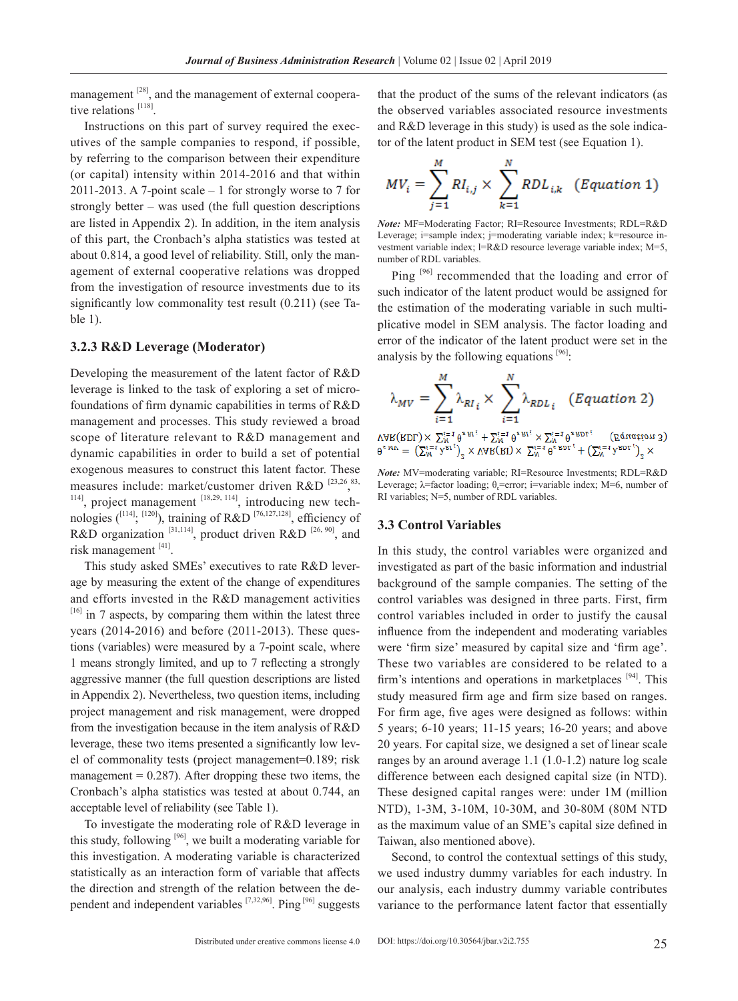management <sup>[28]</sup>, and the management of external cooperative relations [118].

Instructions on this part of survey required the executives of the sample companies to respond, if possible, by referring to the comparison between their expenditure (or capital) intensity within 2014-2016 and that within 2011-2013. A 7-point scale – 1 for strongly worse to 7 for strongly better – was used (the full question descriptions are listed in Appendix 2). In addition, in the item analysis of this part, the Cronbach's alpha statistics was tested at about 0.814, a good level of reliability. Still, only the management of external cooperative relations was dropped from the investigation of resource investments due to its significantly low commonality test result (0.211) (see Table 1).

#### **3.2.3 R&D Leverage (Moderator)**

Developing the measurement of the latent factor of R&D leverage is linked to the task of exploring a set of microfoundations of firm dynamic capabilities in terms of R&D management and processes. This study reviewed a broad scope of literature relevant to R&D management and dynamic capabilities in order to build a set of potential exogenous measures to construct this latent factor. These measures include: market/customer driven  $R&D$ <sup>[23,26,83</sup>,  $1141$ , project management  $[18,29, 114]$ , introducing new technologies  $\binom{[114]}{[120]}$ , training of R&D  $\binom{[76,127,128]}{[16,127,128]}$ , efficiency of R&D organization  $[31,114]$ , product driven R&D  $[26, 90]$ , and risk management [41].

This study asked SMEs' executives to rate R&D leverage by measuring the extent of the change of expenditures and efforts invested in the R&D management activities  $[16]$  in 7 aspects, by comparing them within the latest three years (2014-2016) and before (2011-2013). These questions (variables) were measured by a 7-point scale, where 1 means strongly limited, and up to 7 reflecting a strongly aggressive manner (the full question descriptions are listed in Appendix 2). Nevertheless, two question items, including project management and risk management, were dropped from the investigation because in the item analysis of R&D leverage, these two items presented a significantly low level of commonality tests (project management=0.189; risk management  $= 0.287$ ). After dropping these two items, the Cronbach's alpha statistics was tested at about 0.744, an acceptable level of reliability (see Table 1).

To investigate the moderating role of R&D leverage in this study, following  $[96]$ , we built a moderating variable for this investigation. A moderating variable is characterized statistically as an interaction form of variable that affects the direction and strength of the relation between the dependent and independent variables [7,32,96]. Ping [96] suggests

that the product of the sums of the relevant indicators (as the observed variables associated resource investments and R&D leverage in this study) is used as the sole indicator of the latent product in SEM test (see Equation 1).

$$
MV_i = \sum_{j=1}^{M} RI_{i,j} \times \sum_{k=1}^{N} RDL_{i,k} \quad (Equation 1)
$$

*Note:* MF=Moderating Factor; RI=Resource Investments; RDL=R&D Leverage; i=sample index; j=moderating variable index; k=resource investment variable index; l=R&D resource leverage variable index; M=5, number of RDL variables.

Ping [96] recommended that the loading and error of such indicator of the latent product would be assigned for the estimation of the moderating variable in such multiplicative model in SEM analysis. The factor loading and error of the indicator of the latent product were set in the analysis by the following equations  $[96]$ :

$$
\mathcal{Y}^{MN} = \sum_{i=1}^{N} \mathcal{Y}^{K1}_{i} \times \sum_{i=1}^{N} \mathcal{Y}^{KDF} \left( \text{Equation 3} \right)
$$
  

$$
\mathcal{Y}^{MN} = \sum_{i=1}^{N} \mathcal{Y}^{K1}_{i} + \sum_{i=1}^{N} \mathcal{Y}^{KDF} \left( \text{Equation 3} \right)
$$
  

$$
\mathcal{Y}^{MN} = \sum_{i=1}^{N} \mathcal{Y}^{K1}_{i} \times \sum_{i=1}^{N} \mathcal{Y}^{KDF} \left( \text{Equation 3} \right)
$$

*Note:* MV=moderating variable; RI=Resource Investments; RDL=R&D Leverage;  $\lambda$ =factor loading;  $\theta$ <sub>s</sub>=error; i=variable index; M=6, number of RI variables; N=5, number of RDL variables.

## **3.3 Control Variables**

In this study, the control variables were organized and investigated as part of the basic information and industrial background of the sample companies. The setting of the control variables was designed in three parts. First, firm control variables included in order to justify the causal influence from the independent and moderating variables were 'firm size' measured by capital size and 'firm age'. These two variables are considered to be related to a firm's intentions and operations in marketplaces  $[94]$ . This study measured firm age and firm size based on ranges. For firm age, five ages were designed as follows: within 5 years; 6-10 years; 11-15 years; 16-20 years; and above 20 years. For capital size, we designed a set of linear scale ranges by an around average 1.1 (1.0-1.2) nature log scale difference between each designed capital size (in NTD). These designed capital ranges were: under 1M (million NTD), 1-3M, 3-10M, 10-30M, and 30-80M (80M NTD as the maximum value of an SME's capital size defined in Taiwan, also mentioned above).

Second, to control the contextual settings of this study, we used industry dummy variables for each industry. In our analysis, each industry dummy variable contributes variance to the performance latent factor that essentially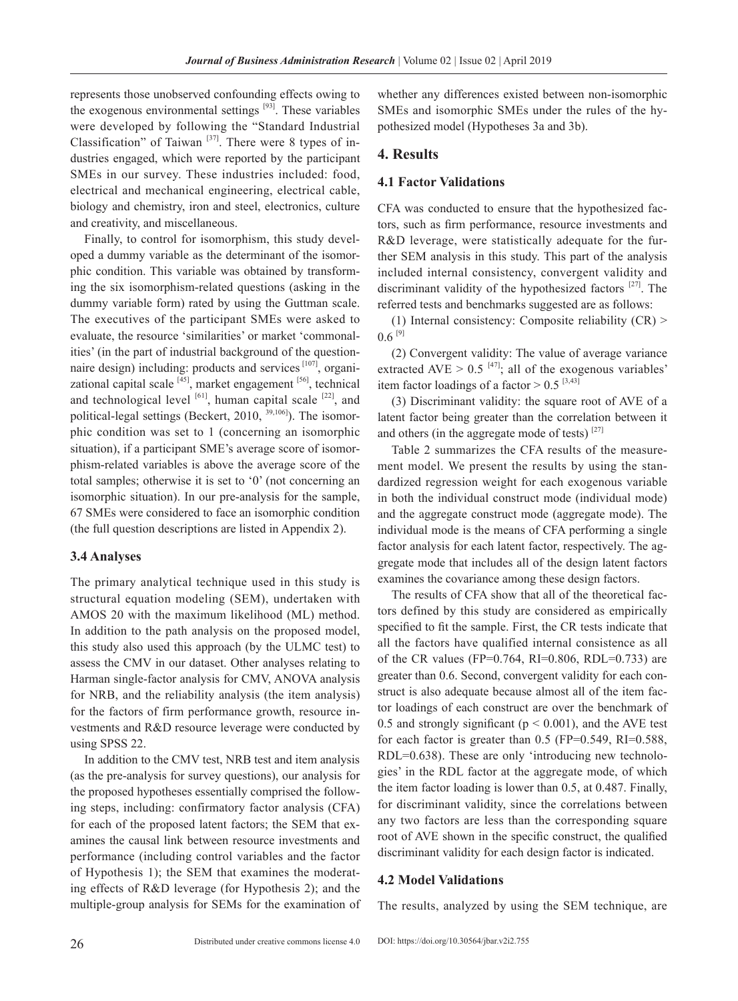represents those unobserved confounding effects owing to the exogenous environmental settings  $[93]$ . These variables were developed by following the "Standard Industrial Classification" of Taiwan  $[37]$ . There were 8 types of industries engaged, which were reported by the participant SMEs in our survey. These industries included: food, electrical and mechanical engineering, electrical cable, biology and chemistry, iron and steel, electronics, culture and creativity, and miscellaneous.

Finally, to control for isomorphism, this study developed a dummy variable as the determinant of the isomorphic condition. This variable was obtained by transforming the six isomorphism-related questions (asking in the dummy variable form) rated by using the Guttman scale. The executives of the participant SMEs were asked to evaluate, the resource 'similarities' or market 'commonalities' (in the part of industrial background of the questionnaire design) including: products and services [107], organizational capital scale  $[45]$ , market engagement  $[56]$ , technical and technological level  $[61]$ , human capital scale  $[22]$ , and political-legal settings (Beckert, 2010,  $^{39,106}$ ). The isomorphic condition was set to 1 (concerning an isomorphic situation), if a participant SME's average score of isomorphism-related variables is above the average score of the total samples; otherwise it is set to '0' (not concerning an isomorphic situation). In our pre-analysis for the sample, 67 SMEs were considered to face an isomorphic condition (the full question descriptions are listed in Appendix 2).

#### **3.4 Analyses**

The primary analytical technique used in this study is structural equation modeling (SEM), undertaken with AMOS 20 with the maximum likelihood (ML) method. In addition to the path analysis on the proposed model, this study also used this approach (by the ULMC test) to assess the CMV in our dataset. Other analyses relating to Harman single-factor analysis for CMV, ANOVA analysis for NRB, and the reliability analysis (the item analysis) for the factors of firm performance growth, resource investments and R&D resource leverage were conducted by using SPSS 22.

In addition to the CMV test, NRB test and item analysis (as the pre-analysis for survey questions), our analysis for the proposed hypotheses essentially comprised the following steps, including: confirmatory factor analysis (CFA) for each of the proposed latent factors; the SEM that examines the causal link between resource investments and performance (including control variables and the factor of Hypothesis 1); the SEM that examines the moderating effects of R&D leverage (for Hypothesis 2); and the multiple-group analysis for SEMs for the examination of

whether any differences existed between non-isomorphic SMEs and isomorphic SMEs under the rules of the hypothesized model (Hypotheses 3a and 3b).

## **4. Results**

## **4.1 Factor Validations**

CFA was conducted to ensure that the hypothesized factors, such as firm performance, resource investments and R&D leverage, were statistically adequate for the further SEM analysis in this study. This part of the analysis included internal consistency, convergent validity and discriminant validity of the hypothesized factors  $[27]$ . The referred tests and benchmarks suggested are as follows:

(1) Internal consistency: Composite reliability (CR) >  $0.6$ <sup>[9]</sup>

(2) Convergent validity: The value of average variance extracted AVE >  $0.5$  [47]; all of the exogenous variables' item factor loadings of a factor  $> 0.5$  [3,43]

(3) Discriminant validity: the square root of AVE of a latent factor being greater than the correlation between it and others (in the aggregate mode of tests)  $[27]$ 

Table 2 summarizes the CFA results of the measurement model. We present the results by using the standardized regression weight for each exogenous variable in both the individual construct mode (individual mode) and the aggregate construct mode (aggregate mode). The individual mode is the means of CFA performing a single factor analysis for each latent factor, respectively. The aggregate mode that includes all of the design latent factors examines the covariance among these design factors.

The results of CFA show that all of the theoretical factors defined by this study are considered as empirically specified to fit the sample. First, the CR tests indicate that all the factors have qualified internal consistence as all of the CR values (FP= $0.764$ , RI= $0.806$ , RDL= $0.733$ ) are greater than 0.6. Second, convergent validity for each construct is also adequate because almost all of the item factor loadings of each construct are over the benchmark of 0.5 and strongly significant ( $p < 0.001$ ), and the AVE test for each factor is greater than 0.5 (FP=0.549, RI=0.588, RDL=0.638). These are only 'introducing new technologies' in the RDL factor at the aggregate mode, of which the item factor loading is lower than 0.5, at 0.487. Finally, for discriminant validity, since the correlations between any two factors are less than the corresponding square root of AVE shown in the specific construct, the qualified discriminant validity for each design factor is indicated.

## **4.2 Model Validations**

The results, analyzed by using the SEM technique, are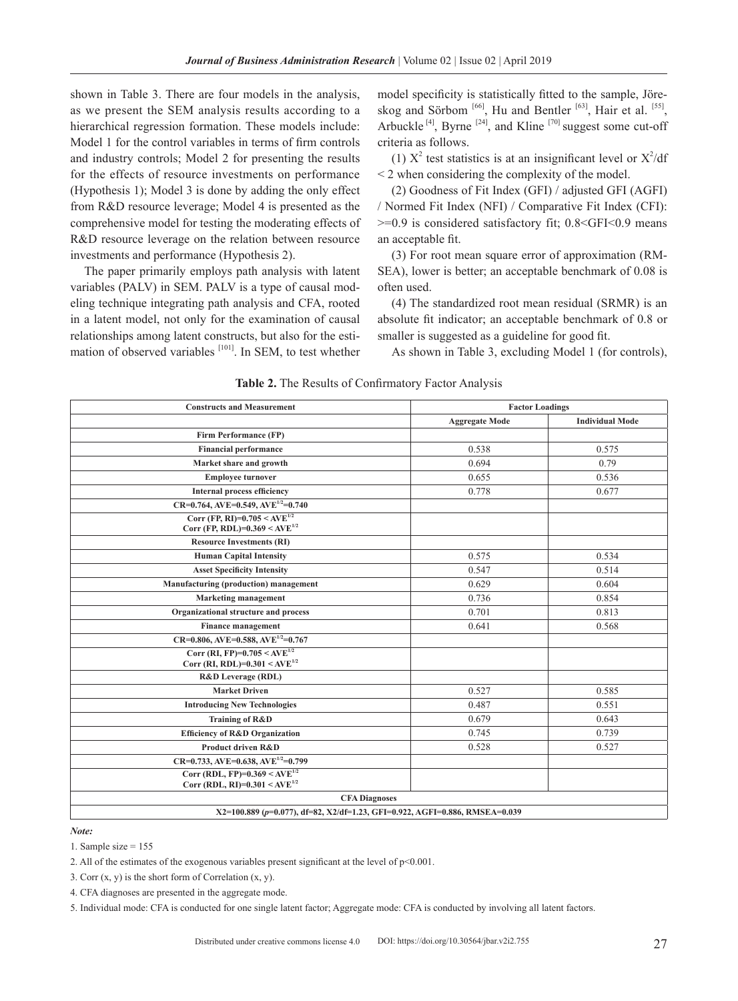shown in Table 3. There are four models in the analysis, as we present the SEM analysis results according to a hierarchical regression formation. These models include: Model 1 for the control variables in terms of firm controls and industry controls; Model 2 for presenting the results for the effects of resource investments on performance (Hypothesis 1); Model 3 is done by adding the only effect from R&D resource leverage; Model 4 is presented as the comprehensive model for testing the moderating effects of R&D resource leverage on the relation between resource investments and performance (Hypothesis 2).

The paper primarily employs path analysis with latent variables (PALV) in SEM. PALV is a type of causal modeling technique integrating path analysis and CFA, rooted in a latent model, not only for the examination of causal relationships among latent constructs, but also for the estimation of observed variables  $[101]$ . In SEM, to test whether model specificity is statistically fitted to the sample, Jöreskog and Sörbom  $[66]$ , Hu and Bentler  $[63]$ , Hair et al.  $[55]$ , Arbuckle  $^{[4]}$ , Byrne  $^{[24]}$ , and Kline  $^{[70]}$  suggest some cut-off criteria as follows.

(1)  $X^2$  test statistics is at an insignificant level or  $X^2/df$ < 2 when considering the complexity of the model.

(2) Goodness of Fit Index (GFI) / adjusted GFI (AGFI) / Normed Fit Index (NFI) / Comparative Fit Index (CFI): >=0.9 is considered satisfactory fit; 0.8<GFI<0.9 means an acceptable fit.

(3) For root mean square error of approximation (RM-SEA), lower is better; an acceptable benchmark of 0.08 is often used.

(4) The standardized root mean residual (SRMR) is an absolute fit indicator; an acceptable benchmark of 0.8 or smaller is suggested as a guideline for good fit.

As shown in Table 3, excluding Model 1 (for controls),

| <b>Constructs and Measurement</b>                                                | <b>Factor Loadings</b> |                        |
|----------------------------------------------------------------------------------|------------------------|------------------------|
|                                                                                  | <b>Aggregate Mode</b>  | <b>Individual Mode</b> |
| <b>Firm Performance (FP)</b>                                                     |                        |                        |
| <b>Financial performance</b>                                                     | 0.538                  | 0.575                  |
| Market share and growth                                                          | 0.694                  | 0.79                   |
| <b>Employee turnover</b>                                                         | 0.655                  | 0.536                  |
| <b>Internal process efficiency</b>                                               | 0.778                  | 0.677                  |
| $CR=0.764, AVE=0.549, AVE^{1/2}=0.740$                                           |                        |                        |
| Corr (FP, RI)= $0.705 \leq AVE^{1/2}$<br>Corr (FP, RDL)= $0.369 \leq AVE^{1/2}$  |                        |                        |
| <b>Resource Investments (RI)</b>                                                 |                        |                        |
| <b>Human Capital Intensity</b>                                                   | 0.575                  | 0.534                  |
| <b>Asset Specificity Intensity</b>                                               | 0.547                  | 0.514                  |
| Manufacturing (production) management                                            | 0.629                  | 0.604                  |
| <b>Marketing management</b>                                                      | 0.736                  | 0.854                  |
| Organizational structure and process                                             | 0.701                  | 0.813                  |
| <b>Finance management</b>                                                        | 0.641                  | 0.568                  |
| $CR = 0.806$ , AVE=0.588, AVE <sup>1/2</sup> =0.767                              |                        |                        |
| Corr (RI, FP)= $0.705 \leq AVE^{1/2}$<br>Corr (RI, RDL)= $0.301 \leq AVE^{1/2}$  |                        |                        |
| <b>R&amp;D</b> Leverage (RDL)                                                    |                        |                        |
| <b>Market Driven</b>                                                             | 0.527                  | 0.585                  |
| <b>Introducing New Technologies</b>                                              | 0.487                  | 0.551                  |
| Training of R&D                                                                  | 0.679                  | 0.643                  |
| <b>Efficiency of R&amp;D Organization</b>                                        | 0.745                  | 0.739                  |
| Product driven R&D                                                               | 0.528                  | 0.527                  |
| $CR=0.733, AVE=0.638, AVE^{1/2}=0.799$                                           |                        |                        |
| Corr (RDL, FP)= $0.369 \leq AVE^{1/2}$<br>Corr (RDL, RI)= $0.301 \leq AVE^{1/2}$ |                        |                        |
| <b>CFA Diagnoses</b>                                                             |                        |                        |
| X2=100.889 (p=0.077), df=82, X2/df=1.23, GFI=0.922, AGFI=0.886, RMSEA=0.039      |                        |                        |

#### **Table 2.** The Results of Confirmatory Factor Analysis

*Note:*

1. Sample size = 155

- 2. All of the estimates of the exogenous variables present significant at the level of p<0.001.
- 3. Corr  $(x, y)$  is the short form of Correlation  $(x, y)$ .
- 4. CFA diagnoses are presented in the aggregate mode.

5. Individual mode: CFA is conducted for one single latent factor; Aggregate mode: CFA is conducted by involving all latent factors.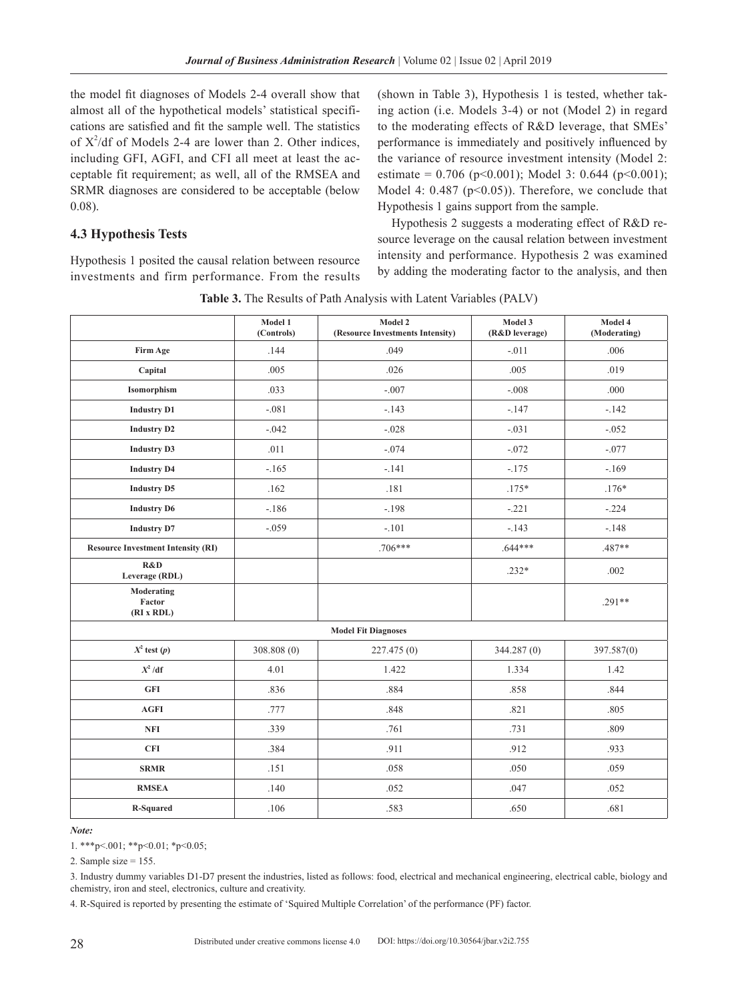the model fit diagnoses of Models 2-4 overall show that almost all of the hypothetical models' statistical specifications are satisfied and fit the sample well. The statistics of  $X^2/df$  of Models 2-4 are lower than 2. Other indices, including GFI, AGFI, and CFI all meet at least the acceptable fit requirement; as well, all of the RMSEA and SRMR diagnoses are considered to be acceptable (below 0.08).

## **4.3 Hypothesis Tests**

Hypothesis 1 posited the causal relation between resource investments and firm performance. From the results (shown in Table 3), Hypothesis 1 is tested, whether taking action (i.e. Models 3-4) or not (Model 2) in regard to the moderating effects of R&D leverage, that SMEs' performance is immediately and positively influenced by the variance of resource investment intensity (Model 2: estimate =  $0.706$  (p<0.001); Model 3: 0.644 (p<0.001); Model 4:  $0.487$  (p< $0.05$ )). Therefore, we conclude that Hypothesis 1 gains support from the sample.

Hypothesis 2 suggests a moderating effect of R&D resource leverage on the causal relation between investment intensity and performance. Hypothesis 2 was examined by adding the moderating factor to the analysis, and then

**Table 3.** The Results of Path Analysis with Latent Variables (PALV)

|                                           | Model 1<br>(Controls) | Model 2<br>(Resource Investments Intensity) | Model 3<br>(R&D leverage) | Model 4<br>(Moderating) |
|-------------------------------------------|-----------------------|---------------------------------------------|---------------------------|-------------------------|
| Firm Age                                  | .144                  | .049                                        | $-.011$                   | .006                    |
| Capital                                   | .005                  | .026                                        | .005                      | .019                    |
| Isomorphism                               | .033                  | $-.007$                                     | $-.008$                   | .000                    |
| <b>Industry D1</b>                        | $-.081$               | $-143$                                      | $-.147$                   | $-.142$                 |
| <b>Industry D2</b>                        | $-.042$               | $-.028$                                     | $-.031$                   | $-.052$                 |
| <b>Industry D3</b>                        | .011                  | $-.074$                                     | $-.072$                   | $-.077$                 |
| <b>Industry D4</b>                        | $-165$                | $-.141$                                     | $-.175$                   | $-.169$                 |
| <b>Industry D5</b>                        | .162                  | .181                                        | $.175*$                   | $.176*$                 |
| <b>Industry D6</b>                        | $-186$                | $-.198$                                     | $-.221$                   | $-.224$                 |
| <b>Industry D7</b>                        | $-.059$               | $-.101$                                     | $-.143$                   | $-.148$                 |
| <b>Resource Investment Intensity (RI)</b> |                       | $.706***$                                   | $.644***$                 | .487**                  |
| R&D<br>Leverage (RDL)                     |                       |                                             | $.232*$                   | .002                    |
| Moderating<br>Factor<br>(RI x RDL)        |                       |                                             |                           | $.291**$                |
|                                           |                       | <b>Model Fit Diagnoses</b>                  |                           |                         |
| $X^2$ test $(p)$                          | 308.808(0)            | 227.475(0)                                  | 344.287 (0)               | 397.587(0)              |
| $X^2/df$                                  | 4.01                  | 1.422                                       | 1.334                     | 1.42                    |
| <b>GFI</b>                                | .836                  | .884                                        | .858                      | .844                    |
| <b>AGFI</b>                               | .777                  | .848                                        | .821                      | .805                    |
| <b>NFI</b>                                | .339                  | .761                                        | .731                      | .809                    |
| <b>CFI</b>                                | .384                  | .911                                        | .912                      | .933                    |
| <b>SRMR</b>                               | .151                  | .058                                        | .050                      | .059                    |
| <b>RMSEA</b>                              | .140                  | .052                                        | .047                      | .052                    |
| R-Squared                                 | .106                  | .583                                        | .650                      | .681                    |

*Note:*

1. \*\*\*p<.001; \*\*p<0.01; \*p<0.05;

2. Sample size  $= 155$ .

3. Industry dummy variables D1-D7 present the industries, listed as follows: food, electrical and mechanical engineering, electrical cable, biology and chemistry, iron and steel, electronics, culture and creativity.

4. R-Squired is reported by presenting the estimate of 'Squired Multiple Correlation' of the performance (PF) factor.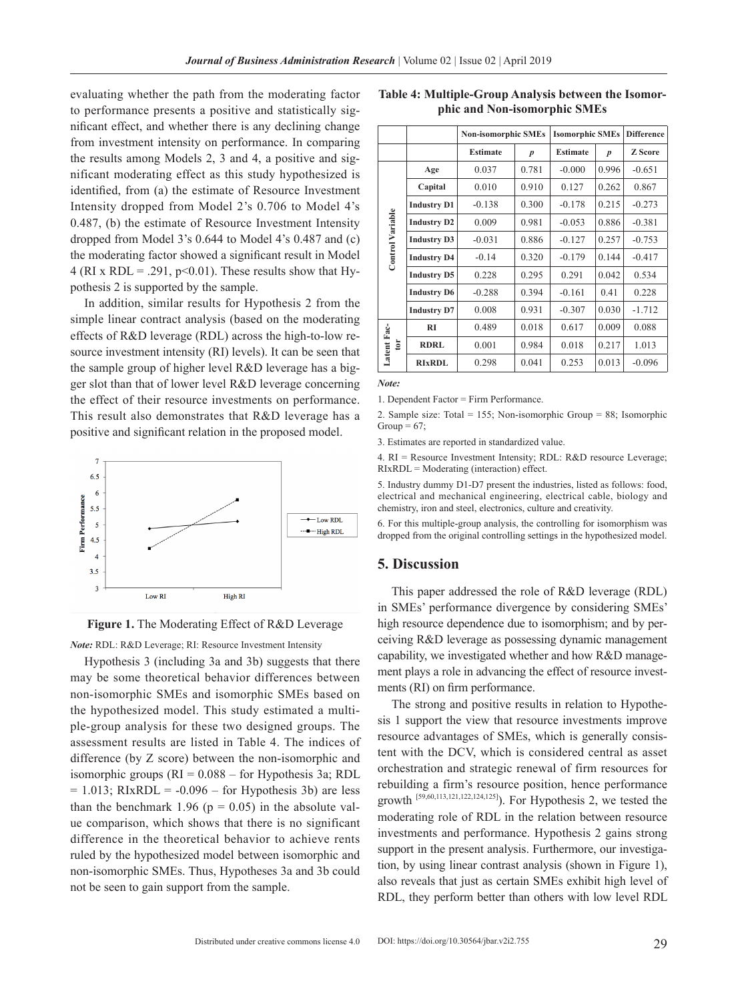evaluating whether the path from the moderating factor to performance presents a positive and statistically significant effect, and whether there is any declining change from investment intensity on performance. In comparing the results among Models 2, 3 and 4, a positive and significant moderating effect as this study hypothesized is identified, from (a) the estimate of Resource Investment Intensity dropped from Model 2's 0.706 to Model 4's 0.487, (b) the estimate of Resource Investment Intensity dropped from Model 3's 0.644 to Model 4's 0.487 and (c) the moderating factor showed a significant result in Model 4 (RI x RDL = .291,  $p<0.01$ ). These results show that Hypothesis 2 is supported by the sample.

In addition, similar results for Hypothesis 2 from the simple linear contract analysis (based on the moderating effects of R&D leverage (RDL) across the high-to-low resource investment intensity (RI) levels). It can be seen that the sample group of higher level R&D leverage has a bigger slot than that of lower level R&D leverage concerning the effect of their resource investments on performance. This result also demonstrates that R&D leverage has a positive and significant relation in the proposed model.





*Note: RDL: R&D Leverage; RI: Resource Investment Intensity* 

Hypothesis 3 (including 3a and 3b) suggests that there may be some theoretical behavior differences between non-isomorphic SMEs and isomorphic SMEs based on the hypothesized model. This study estimated a multiple-group analysis for these two designed groups. The assessment results are listed in Table 4. The indices of difference (by Z score) between the non-isomorphic and isomorphic groups  $(RI = 0.088 -$  for Hypothesis 3a; RDL  $= 1.013$ ; RIxRDL  $= -0.096$  – for Hypothesis 3b) are less than the benchmark 1.96 ( $p = 0.05$ ) in the absolute value comparison, which shows that there is no significant difference in the theoretical behavior to achieve rents ruled by the hypothesized model between isomorphic and non-isomorphic SMEs. Thus, Hypotheses 3a and 3b could not be seen to gain support from the sample.

|                  |                    | <b>Non-isomorphic SMEs</b> |                  | <b>Isomorphic SMEs</b> | <b>Difference</b> |                |
|------------------|--------------------|----------------------------|------------------|------------------------|-------------------|----------------|
|                  |                    | <b>Estimate</b>            | $\boldsymbol{p}$ | <b>Estimate</b>        | $\boldsymbol{p}$  | <b>Z</b> Score |
|                  | Age                | 0.037                      | 0.781            | $-0.000$               | 0.996             | $-0.651$       |
|                  | Capital            | 0.010                      | 0.910            | 0.127                  | 0.262             | 0.867          |
|                  | <b>Industry D1</b> | $-0.138$                   | 0.300            | $-0.178$               | 0.215             | $-0.273$       |
| Control Variable | <b>Industry D2</b> | 0.009                      | 0.981            | $-0.053$               | 0.886             | $-0.381$       |
|                  | <b>Industry D3</b> | $-0.031$                   | 0.886            | $-0.127$               | 0.257             | $-0.753$       |
|                  | <b>Industry D4</b> | $-0.14$                    |                  | $-0.179$               | 0.144             | $-0.417$       |
|                  | <b>Industry D5</b> | 0.228                      |                  | 0.291                  | 0.042             | 0.534          |
|                  | <b>Industry D6</b> | $-0.288$                   | 0.394            | $-0.161$               | 0.41              | 0.228          |
|                  | <b>Industry D7</b> | 0.008                      | 0.931            | $-0.307$               | 0.030             | $-1.712$       |
|                  | RI                 | 0.489                      | 0.018            | 0.617                  | 0.009             | 0.088          |
| Latent Fac-<br>ē | <b>RDRL</b>        | 0.001                      | 0.984            | 0.018                  | 0.217             | 1.013          |
|                  | <b>RIXRDL</b>      | 0.298                      | 0.041            | 0.253                  | 0.013             | $-0.096$       |

**Table 4: Multiple-Group Analysis between the Isomorphic and Non-isomorphic SMEs**

*Note:*

1. Dependent Factor = Firm Performance.

2. Sample size: Total = 155; Non-isomorphic Group = 88; Isomorphic Group =  $67$ ;

3. Estimates are reported in standardized value.

4. RI = Resource Investment Intensity; RDL: R&D resource Leverage; RIxRDL = Moderating (interaction) effect.

5. Industry dummy D1-D7 present the industries, listed as follows: food, electrical and mechanical engineering, electrical cable, biology and chemistry, iron and steel, electronics, culture and creativity.

6. For this multiple-group analysis, the controlling for isomorphism was dropped from the original controlling settings in the hypothesized model.

## **5. Discussion**

This paper addressed the role of R&D leverage (RDL) in SMEs' performance divergence by considering SMEs' high resource dependence due to isomorphism; and by perceiving R&D leverage as possessing dynamic management capability, we investigated whether and how R&D management plays a role in advancing the effect of resource investments (RI) on firm performance.

The strong and positive results in relation to Hypothesis 1 support the view that resource investments improve resource advantages of SMEs, which is generally consistent with the DCV, which is considered central as asset orchestration and strategic renewal of firm resources for rebuilding a firm's resource position, hence performance growth  $[59,60,113,121,122,124,125]$ . For Hypothesis 2, we tested the moderating role of RDL in the relation between resource investments and performance. Hypothesis 2 gains strong support in the present analysis. Furthermore, our investigation, by using linear contrast analysis (shown in Figure 1), also reveals that just as certain SMEs exhibit high level of RDL, they perform better than others with low level RDL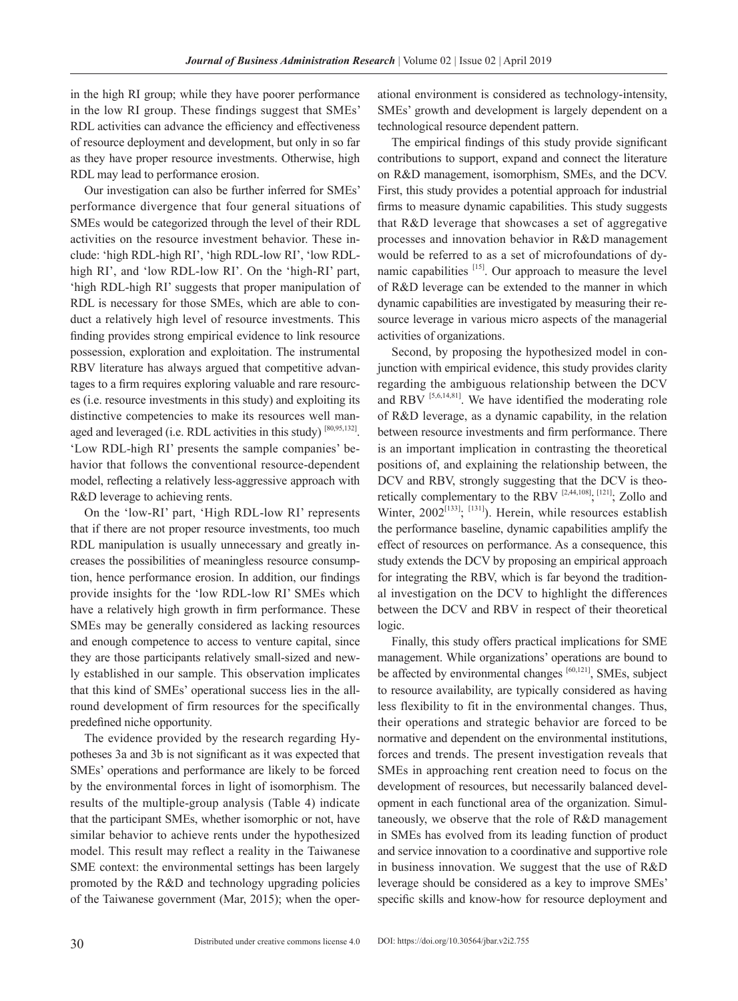in the high RI group; while they have poorer performance in the low RI group. These findings suggest that SMEs' RDL activities can advance the efficiency and effectiveness of resource deployment and development, but only in so far as they have proper resource investments. Otherwise, high RDL may lead to performance erosion.

Our investigation can also be further inferred for SMEs' performance divergence that four general situations of SMEs would be categorized through the level of their RDL activities on the resource investment behavior. These include: 'high RDL-high RI', 'high RDL-low RI', 'low RDLhigh RI', and 'low RDL-low RI'. On the 'high-RI' part, 'high RDL-high RI' suggests that proper manipulation of RDL is necessary for those SMEs, which are able to conduct a relatively high level of resource investments. This finding provides strong empirical evidence to link resource possession, exploration and exploitation. The instrumental RBV literature has always argued that competitive advantages to a firm requires exploring valuable and rare resources (i.e. resource investments in this study) and exploiting its distinctive competencies to make its resources well managed and leveraged (i.e. RDL activities in this study) [80,95,132]. 'Low RDL-high RI' presents the sample companies' behavior that follows the conventional resource-dependent model, reflecting a relatively less-aggressive approach with R&D leverage to achieving rents.

On the 'low-RI' part, 'High RDL-low RI' represents that if there are not proper resource investments, too much RDL manipulation is usually unnecessary and greatly increases the possibilities of meaningless resource consumption, hence performance erosion. In addition, our findings provide insights for the 'low RDL-low RI' SMEs which have a relatively high growth in firm performance. These SMEs may be generally considered as lacking resources and enough competence to access to venture capital, since they are those participants relatively small-sized and newly established in our sample. This observation implicates that this kind of SMEs' operational success lies in the allround development of firm resources for the specifically predefined niche opportunity.

The evidence provided by the research regarding Hypotheses 3a and 3b is not significant as it was expected that SMEs' operations and performance are likely to be forced by the environmental forces in light of isomorphism. The results of the multiple-group analysis (Table 4) indicate that the participant SMEs, whether isomorphic or not, have similar behavior to achieve rents under the hypothesized model. This result may reflect a reality in the Taiwanese SME context: the environmental settings has been largely promoted by the R&D and technology upgrading policies of the Taiwanese government (Mar, 2015); when the oper-

ational environment is considered as technology-intensity, SMEs' growth and development is largely dependent on a technological resource dependent pattern.

The empirical findings of this study provide significant contributions to support, expand and connect the literature on R&D management, isomorphism, SMEs, and the DCV. First, this study provides a potential approach for industrial firms to measure dynamic capabilities. This study suggests that R&D leverage that showcases a set of aggregative processes and innovation behavior in R&D management would be referred to as a set of microfoundations of dynamic capabilities  $[15]$ . Our approach to measure the level of R&D leverage can be extended to the manner in which dynamic capabilities are investigated by measuring their resource leverage in various micro aspects of the managerial activities of organizations.

Second, by proposing the hypothesized model in conjunction with empirical evidence, this study provides clarity regarding the ambiguous relationship between the DCV and RBV <sup>[5,6,14,81]</sup>. We have identified the moderating role of R&D leverage, as a dynamic capability, in the relation between resource investments and firm performance. There is an important implication in contrasting the theoretical positions of, and explaining the relationship between, the DCV and RBV, strongly suggesting that the DCV is theoretically complementary to the RBV  $[2,44,108]$ ,  $[121]$ ; Zollo and Winter,  $2002^{[133]}.$   $[131]$ ). Herein, while resources establish the performance baseline, dynamic capabilities amplify the effect of resources on performance. As a consequence, this study extends the DCV by proposing an empirical approach for integrating the RBV, which is far beyond the traditional investigation on the DCV to highlight the differences between the DCV and RBV in respect of their theoretical logic.

Finally, this study offers practical implications for SME management. While organizations' operations are bound to be affected by environmental changes  $[60,121]$ , SMEs, subject to resource availability, are typically considered as having less flexibility to fit in the environmental changes. Thus, their operations and strategic behavior are forced to be normative and dependent on the environmental institutions, forces and trends. The present investigation reveals that SMEs in approaching rent creation need to focus on the development of resources, but necessarily balanced development in each functional area of the organization. Simultaneously, we observe that the role of R&D management in SMEs has evolved from its leading function of product and service innovation to a coordinative and supportive role in business innovation. We suggest that the use of R&D leverage should be considered as a key to improve SMEs' specific skills and know-how for resource deployment and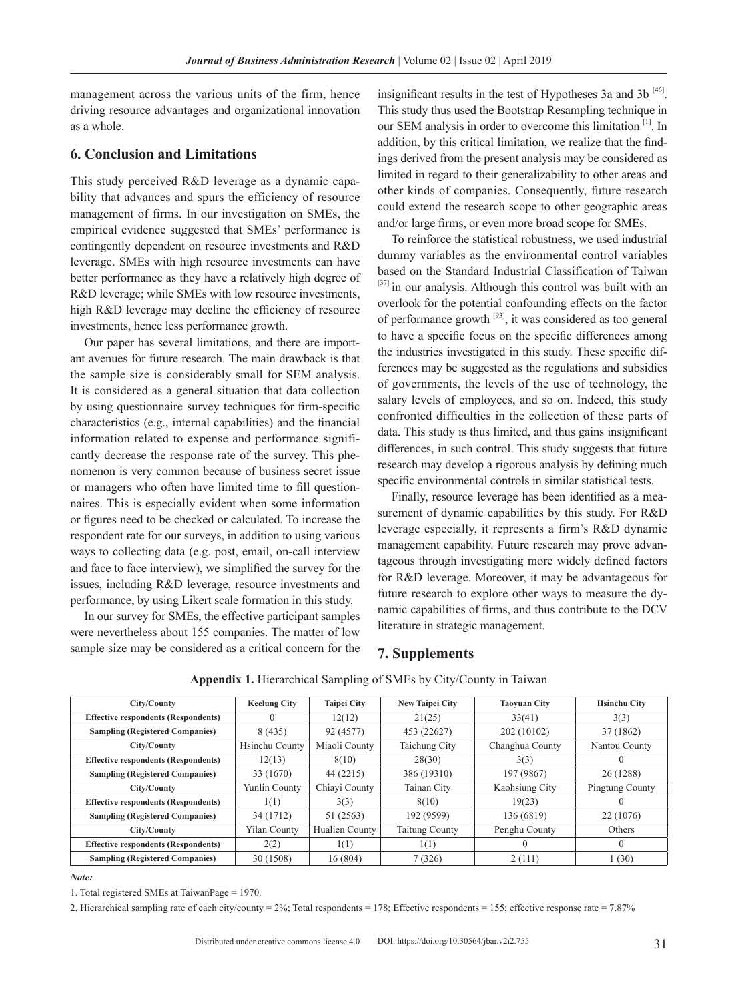management across the various units of the firm, hence driving resource advantages and organizational innovation as a whole.

## **6. Conclusion and Limitations**

This study perceived R&D leverage as a dynamic capability that advances and spurs the efficiency of resource management of firms. In our investigation on SMEs, the empirical evidence suggested that SMEs' performance is contingently dependent on resource investments and R&D leverage. SMEs with high resource investments can have better performance as they have a relatively high degree of R&D leverage; while SMEs with low resource investments, high R&D leverage may decline the efficiency of resource investments, hence less performance growth.

Our paper has several limitations, and there are important avenues for future research. The main drawback is that the sample size is considerably small for SEM analysis. It is considered as a general situation that data collection by using questionnaire survey techniques for firm-specific characteristics (e.g., internal capabilities) and the financial information related to expense and performance significantly decrease the response rate of the survey. This phenomenon is very common because of business secret issue or managers who often have limited time to fill questionnaires. This is especially evident when some information or figures need to be checked or calculated. To increase the respondent rate for our surveys, in addition to using various ways to collecting data (e.g. post, email, on-call interview and face to face interview), we simplified the survey for the issues, including R&D leverage, resource investments and performance, by using Likert scale formation in this study.

In our survey for SMEs, the effective participant samples were nevertheless about 155 companies. The matter of low sample size may be considered as a critical concern for the

insignificant results in the test of Hypotheses 3a and 3b  $^{[46]}$ . This study thus used the Bootstrap Resampling technique in our SEM analysis in order to overcome this limitation [1]. In addition, by this critical limitation, we realize that the findings derived from the present analysis may be considered as limited in regard to their generalizability to other areas and other kinds of companies. Consequently, future research could extend the research scope to other geographic areas and/or large firms, or even more broad scope for SMEs.

To reinforce the statistical robustness, we used industrial dummy variables as the environmental control variables based on the Standard Industrial Classification of Taiwan [37] in our analysis. Although this control was built with an overlook for the potential confounding effects on the factor of performance growth [93], it was considered as too general to have a specific focus on the specific differences among the industries investigated in this study. These specific differences may be suggested as the regulations and subsidies of governments, the levels of the use of technology, the salary levels of employees, and so on. Indeed, this study confronted difficulties in the collection of these parts of data. This study is thus limited, and thus gains insignificant differences, in such control. This study suggests that future research may develop a rigorous analysis by defining much specific environmental controls in similar statistical tests.

Finally, resource leverage has been identified as a measurement of dynamic capabilities by this study. For R&D leverage especially, it represents a firm's R&D dynamic management capability. Future research may prove advantageous through investigating more widely defined factors for R&D leverage. Moreover, it may be advantageous for future research to explore other ways to measure the dynamic capabilities of firms, and thus contribute to the DCV literature in strategic management.

## **7. Supplements**

| City/County                                | <b>Keelung City</b> | <b>Taipei City</b> | <b>New Taipei City</b> | <b>Taoyuan City</b> | <b>Hsinchu City</b>    |
|--------------------------------------------|---------------------|--------------------|------------------------|---------------------|------------------------|
| <b>Effective respondents (Respondents)</b> | 0                   | 12(12)             | 21(25)                 | 33(41)              | 3(3)                   |
| <b>Sampling (Registered Companies)</b>     | 8(435)              | 92 (4577)          | 453 (22627)            | 202 (10102)         | 37 (1862)              |
| City/County                                | Hsinchu County      | Miaoli County      | Taichung City          | Changhua County     | Nantou County          |
| <b>Effective respondents (Respondents)</b> | 12(13)              | 8(10)              | 28(30)                 | 3(3)                |                        |
| <b>Sampling (Registered Companies)</b>     | 33 (1670)           | 44 (2215)          | 386 (19310)            | 197 (9867)          | 26 (1288)              |
| City/County                                | Yunlin County       | Chiavi County      | Tainan City            | Kaohsiung City      | <b>Pingtung County</b> |
| <b>Effective respondents (Respondents)</b> | 1(1)                | 3(3)               | 8(10)                  | 19(23)              |                        |
| <b>Sampling (Registered Companies)</b>     | 34 (1712)           | 51 (2563)          | 192 (9599)             | 136 (6819)          | 22 (1076)              |
| City/County                                | <b>Yilan County</b> | Hualien County     | <b>Taitung County</b>  | Penghu County       | Others                 |
| <b>Effective respondents (Respondents)</b> | 2(2)                | 1(1)               | 1(1)                   |                     | $\Omega$               |
| <b>Sampling (Registered Companies)</b>     | 30 (1508)           | 16(804)            | 7(326)                 | 2(111)              | 1(30)                  |

#### **Appendix 1.** Hierarchical Sampling of SMEs by City/County in Taiwan

#### *Note:*

1. Total registered SMEs at TaiwanPage = 1970.

2. Hierarchical sampling rate of each city/county =  $2\%$ ; Total respondents = 178; Effective respondents = 155; effective response rate = 7.87%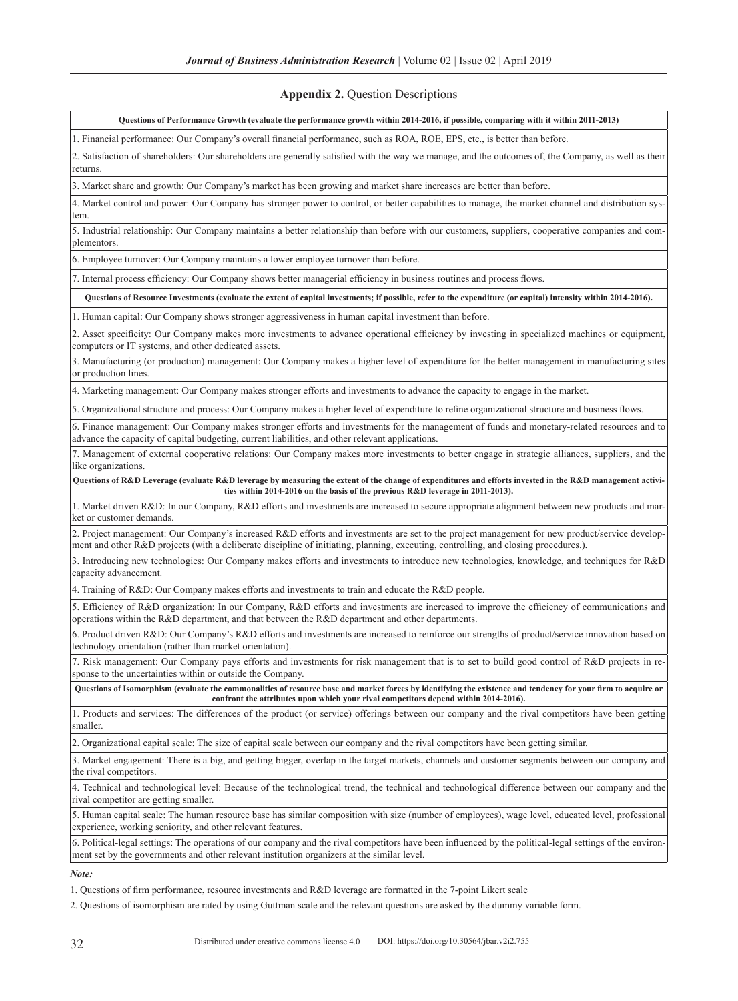## **Appendix 2.** Question Descriptions

| Questions of Performance Growth (evaluate the performance growth within 2014-2016, if possible, comparing with it within 2011-2013)                                                                                                                                                   |
|---------------------------------------------------------------------------------------------------------------------------------------------------------------------------------------------------------------------------------------------------------------------------------------|
| 1. Financial performance: Our Company's overall financial performance, such as ROA, ROE, EPS, etc., is better than before.                                                                                                                                                            |
| 2. Satisfaction of shareholders: Our shareholders are generally satisfied with the way we manage, and the outcomes of, the Company, as well as their<br>returns.                                                                                                                      |
| 3. Market share and growth: Our Company's market has been growing and market share increases are better than before.                                                                                                                                                                  |
| 4. Market control and power: Our Company has stronger power to control, or better capabilities to manage, the market channel and distribution sys-                                                                                                                                    |
| tem.<br>5. Industrial relationship: Our Company maintains a better relationship than before with our customers, suppliers, cooperative companies and com-                                                                                                                             |
| plementors.                                                                                                                                                                                                                                                                           |
| 6. Employee turnover: Our Company maintains a lower employee turnover than before.                                                                                                                                                                                                    |
| 7. Internal process efficiency: Our Company shows better managerial efficiency in business routines and process flows.                                                                                                                                                                |
| Questions of Resource Investments (evaluate the extent of capital investments; if possible, refer to the expenditure (or capital) intensity within 2014-2016).                                                                                                                        |
| 1. Human capital: Our Company shows stronger aggressiveness in human capital investment than before.                                                                                                                                                                                  |
| 2. Asset specificity: Our Company makes more investments to advance operational efficiency by investing in specialized machines or equipment,<br>computers or IT systems, and other dedicated assets.                                                                                 |
| 3. Manufacturing (or production) management: Our Company makes a higher level of expenditure for the better management in manufacturing sites<br>or production lines.                                                                                                                 |
| 4. Marketing management: Our Company makes stronger efforts and investments to advance the capacity to engage in the market.                                                                                                                                                          |
| 5. Organizational structure and process: Our Company makes a higher level of expenditure to refine organizational structure and business flows.                                                                                                                                       |
| 6. Finance management: Our Company makes stronger efforts and investments for the management of funds and monetary-related resources and to<br>advance the capacity of capital budgeting, current liabilities, and other relevant applications.                                       |
| 7. Management of external cooperative relations: Our Company makes more investments to better engage in strategic alliances, suppliers, and the<br>like organizations.                                                                                                                |
| Questions of R&D Leverage (evaluate R&D leverage by measuring the extent of the change of expenditures and efforts invested in the R&D management activi-<br>ties within 2014-2016 on the basis of the previous R&D leverage in 2011-2013).                                           |
| 1. Market driven R&D: In our Company, R&D efforts and investments are increased to secure appropriate alignment between new products and mar-<br>ket or customer demands.                                                                                                             |
| 2. Project management: Our Company's increased R&D efforts and investments are set to the project management for new product/service develop-<br>ment and other R&D projects (with a deliberate discipline of initiating, planning, executing, controlling, and closing procedures.). |
| 3. Introducing new technologies: Our Company makes efforts and investments to introduce new technologies, knowledge, and techniques for R&D<br>capacity advancement.                                                                                                                  |
| 4. Training of R&D: Our Company makes efforts and investments to train and educate the R&D people.                                                                                                                                                                                    |
| 5. Efficiency of R&D organization: In our Company, R&D efforts and investments are increased to improve the efficiency of communications and<br>operations within the R&D department, and that between the R&D department and other departments.                                      |
| 6. Product driven R&D: Our Company's R&D efforts and investments are increased to reinforce our strengths of product/service innovation based on<br>technology orientation (rather than market orientation).                                                                          |
| 7. Risk management: Our Company pays efforts and investments for risk management that is to set to build good control of R&D projects in re-<br>sponse to the uncertainties within or outside the Company.                                                                            |
| Questions of Isomorphism (evaluate the commonalities of resource base and market forces by identifying the existence and tendency for your firm to acquire or<br>confront the attributes upon which your rival competitors depend within 2014-2016).                                  |
| 1. Products and services: The differences of the product (or service) offerings between our company and the rival competitors have been getting<br>smaller.                                                                                                                           |
| 2. Organizational capital scale: The size of capital scale between our company and the rival competitors have been getting similar.                                                                                                                                                   |
| 3. Market engagement: There is a big, and getting bigger, overlap in the target markets, channels and customer segments between our company and<br>the rival competitors.                                                                                                             |
| 4. Technical and technological level: Because of the technological trend, the technical and technological difference between our company and the<br>rival competitor are getting smaller.                                                                                             |
| 5. Human capital scale: The human resource base has similar composition with size (number of employees), wage level, educated level, professional<br>experience, working seniority, and other relevant features.                                                                      |
| 6. Political-legal settings: The operations of our company and the rival competitors have been influenced by the political-legal settings of the environ-<br>ment set by the governments and other relevant institution organizers at the similar level.                              |
| Note:                                                                                                                                                                                                                                                                                 |

1. Questions of firm performance, resource investments and R&D leverage are formatted in the 7-point Likert scale

2. Questions of isomorphism are rated by using Guttman scale and the relevant questions are asked by the dummy variable form.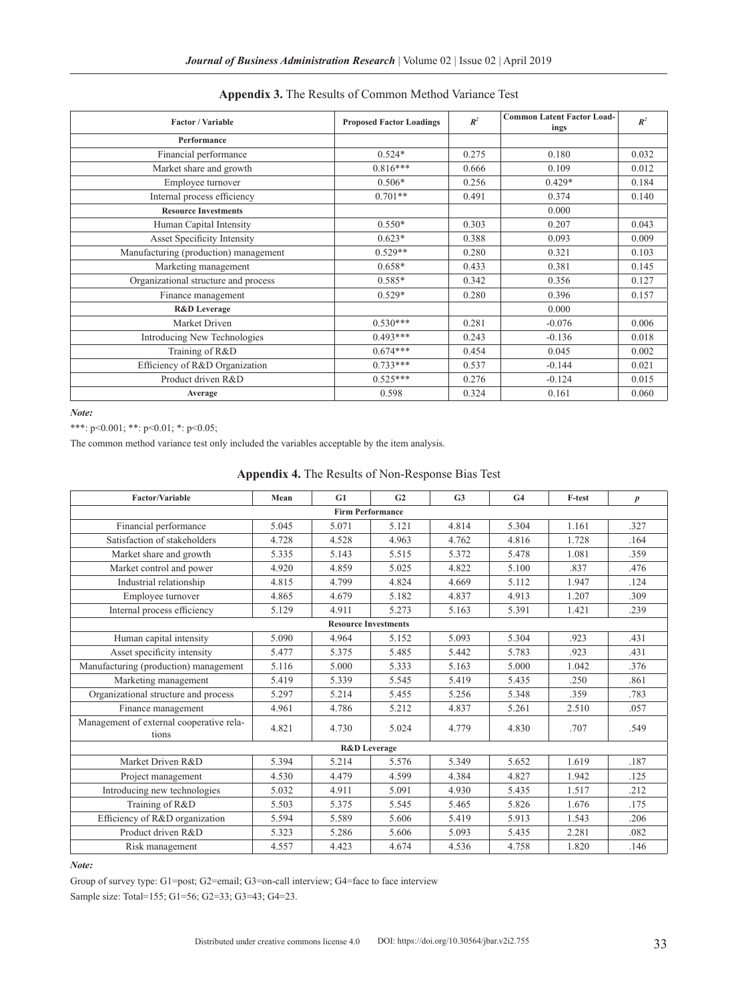| <b>Factor / Variable</b>              | <b>Proposed Factor Loadings</b> | $I\!\!R^2$ | <b>Common Latent Factor Load-</b><br>ings | $R^2$ |
|---------------------------------------|---------------------------------|------------|-------------------------------------------|-------|
| Performance                           |                                 |            |                                           |       |
| Financial performance                 | $0.524*$                        | 0.275      | 0.180                                     | 0.032 |
| Market share and growth               | $0.816***$                      | 0.666      | 0.109                                     | 0.012 |
| Employee turnover                     | $0.506*$                        | 0.256      | $0.429*$                                  | 0.184 |
| Internal process efficiency           | $0.701**$                       | 0.491      | 0.374                                     | 0.140 |
| <b>Resource Investments</b>           |                                 |            | 0.000                                     |       |
| Human Capital Intensity               | $0.550*$                        | 0.303      | 0.207                                     | 0.043 |
| Asset Specificity Intensity           | $0.623*$                        | 0.388      | 0.093                                     | 0.009 |
| Manufacturing (production) management | $0.529**$                       | 0.280      | 0.321                                     | 0.103 |
| Marketing management                  | $0.658*$                        | 0.433      | 0.381                                     | 0.145 |
| Organizational structure and process  | $0.585*$                        | 0.342      | 0.356                                     | 0.127 |
| Finance management                    | $0.529*$                        | 0.280      | 0.396                                     | 0.157 |
| <b>R&amp;D</b> Leverage               |                                 |            | 0.000                                     |       |
| Market Driven                         | $0.530***$                      | 0.281      | $-0.076$                                  | 0.006 |
| Introducing New Technologies          | $0.493***$                      | 0.243      | $-0.136$                                  | 0.018 |
| Training of R&D                       | $0.674***$                      | 0.454      | 0.045                                     | 0.002 |
| Efficiency of R&D Organization        | $0.733***$                      | 0.537      | $-0.144$                                  | 0.021 |
| Product driven R&D                    | $0.525***$                      | 0.276      | $-0.124$                                  | 0.015 |
| Average                               | 0.598                           | 0.324      | 0.161                                     | 0.060 |

## **Appendix 3.** The Results of Common Method Variance Test

*Note:*

\*\*\*: p<0.001; \*\*: p<0.01; \*: p<0.05;

The common method variance test only included the variables acceptable by the item analysis.

|  | <b>Appendix 4.</b> The Results of Non-Response Bias Test |  |
|--|----------------------------------------------------------|--|
|--|----------------------------------------------------------|--|

| <b>Factor/Variable</b>                            | Mean  | G1                          | G <sub>2</sub> | G <sub>3</sub> | G <sub>4</sub> | F-test | $\boldsymbol{p}$ |
|---------------------------------------------------|-------|-----------------------------|----------------|----------------|----------------|--------|------------------|
| <b>Firm Performance</b>                           |       |                             |                |                |                |        |                  |
| Financial performance                             | 5.045 | 5.071                       | 5.121          | 4.814          | 5.304          | 1.161  | .327             |
| Satisfaction of stakeholders                      | 4.728 | 4.528                       | 4.963          | 4.762          | 4.816          | 1.728  | .164             |
| Market share and growth                           | 5.335 | 5.143                       | 5.515          | 5.372          | 5.478          | 1.081  | .359             |
| Market control and power                          | 4.920 | 4.859                       | 5.025          | 4.822          | 5.100          | .837   | .476             |
| Industrial relationship                           | 4.815 | 4.799                       | 4.824          | 4.669          | 5.112          | 1.947  | .124             |
| Employee turnover                                 | 4.865 | 4.679                       | 5.182          | 4.837          | 4.913          | 1.207  | .309             |
| Internal process efficiency                       | 5.129 | 4.911                       | 5.273          | 5.163          | 5.391          | 1.421  | .239             |
|                                                   |       | <b>Resource Investments</b> |                |                |                |        |                  |
| Human capital intensity                           | 5.090 | 4.964                       | 5.152          | 5.093          | 5.304          | .923   | .431             |
| Asset specificity intensity                       | 5.477 | 5.375                       | 5.485          | 5.442          | 5.783          | .923   | .431             |
| Manufacturing (production) management             | 5.116 | 5.000                       | 5.333          | 5.163          | 5.000          | 1.042  | .376             |
| Marketing management                              | 5.419 | 5.339                       | 5.545          | 5.419          | 5.435          | .250   | .861             |
| Organizational structure and process              | 5.297 | 5.214                       | 5.455          | 5.256          | 5.348          | .359   | .783             |
| Finance management                                | 4.961 | 4.786                       | 5.212          | 4.837          | 5.261          | 2.510  | .057             |
| Management of external cooperative rela-<br>tions | 4.821 | 4.730                       | 5.024          | 4.779          | 4.830          | .707   | .549             |
|                                                   |       | <b>R&amp;D</b> Leverage     |                |                |                |        |                  |
| Market Driven R&D                                 | 5.394 | 5.214                       | 5.576          | 5.349          | 5.652          | 1.619  | .187             |
| Project management                                | 4.530 | 4.479                       | 4.599          | 4.384          | 4.827          | 1.942  | .125             |
| Introducing new technologies                      | 5.032 | 4.911                       | 5.091          | 4.930          | 5.435          | 1.517  | .212             |
| Training of R&D                                   | 5.503 | 5.375                       | 5.545          | 5.465          | 5.826          | 1.676  | .175             |
| Efficiency of R&D organization                    | 5.594 | 5.589                       | 5.606          | 5.419          | 5.913          | 1.543  | .206             |
| Product driven R&D                                | 5.323 | 5.286                       | 5.606          | 5.093          | 5.435          | 2.281  | .082             |
| Risk management                                   | 4.557 | 4.423                       | 4.674          | 4.536          | 4.758          | 1.820  | .146             |

*Note:*

Group of survey type: G1=post; G2=email; G3=on-call interview; G4=face to face interview Sample size: Total=155; G1=56; G2=33; G3=43; G4=23.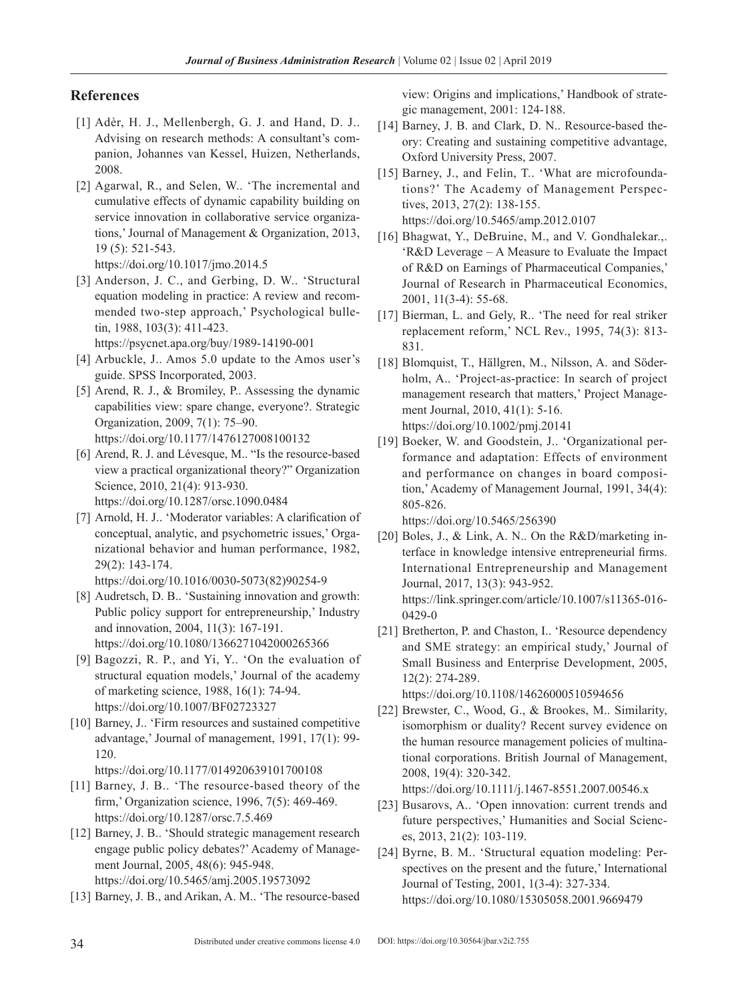# **References**

- [1] Adèr, H. J., Mellenbergh, G. J. and Hand, D. J.. Advising on research methods: A consultant's companion, Johannes van Kessel, Huizen, Netherlands, 2008.
- [2] Agarwal, R., and Selen, W.. 'The incremental and cumulative effects of dynamic capability building on service innovation in collaborative service organizations,'Journal of Management & Organization, 2013, 19 (5): 521-543. <https://doi.org/10.1017/jmo.2014.5>
- [3] Anderson, J. C., and Gerbing, D. W.. 'Structural equation modeling in practice: A review and recommended two-step approach,' Psychological bulletin, 1988, 103(3): 411-423.

<https://psycnet.apa.org/buy/1989-14190-001>

- [4] Arbuckle, J.. Amos 5.0 update to the Amos user's guide. SPSS Incorporated, 2003.
- [5] Arend, R. J., & Bromiley, P.. Assessing the dynamic capabilities view: spare change, everyone?. Strategic Organization, 2009, 7(1): 75–90. <https://doi.org/10.1177/1476127008100132>
- [6] Arend, R. J. and Lévesque, M.. "Is the resource-based view a practical organizational theory?" Organization Science, 2010, 21(4): 913-930. <https://doi.org/10.1287/orsc.1090.0484>
- [7] Arnold, H. J.. 'Moderator variables: A clarification of conceptual, analytic, and psychometric issues,' Organizational behavior and human performance, 1982, 29(2): 143-174. [https://doi.org/10.1016/0030-5073\(82\)90254-9](https://doi.org/10.1016/0030-5073(82)90254-9)
- [8] Audretsch, D. B.. 'Sustaining innovation and growth: Public policy support for entrepreneurship,' Industry and innovation, 2004, 11(3): 167-191. <https://doi.org/10.1080/1366271042000265366>
- [9] Bagozzi, R. P., and Yi, Y.. 'On the evaluation of structural equation models,' Journal of the academy of marketing science, 1988, 16(1): 74-94. <https://doi.org/10.1007/BF02723327>
- [10] Barney, J.. 'Firm resources and sustained competitive advantage,' Journal of management, 1991, 17(1): 99- 120.
	- <https://doi.org/10.1177/014920639101700108>
- [11] Barney, J. B.. 'The resource-based theory of the firm,' Organization science, 1996, 7(5): 469-469. <https://doi.org/10.1287/orsc.7.5.469>
- [12] Barney, J. B.. 'Should strategic management research engage public policy debates?' Academy of Management Journal, 2005, 48(6): 945-948. <https://doi.org/10.5465/amj.2005.19573092>
- [13] Barney, J. B., and Arikan, A. M.. 'The resource-based

view: Origins and implications,' Handbook of strategic management, 2001: 124-188.

- [14] Barney, J. B. and Clark, D. N.. Resource-based theory: Creating and sustaining competitive advantage, Oxford University Press, 2007.
- [15] Barney, J., and Felin, T.. 'What are microfoundations?' The Academy of Management Perspectives, 2013, 27(2): 138-155. <https://doi.org/10.5465/amp.2012.0107>
- [16] Bhagwat, Y., DeBruine, M., and V. Gondhalekar.,. 'R&D Leverage – A Measure to Evaluate the Impact of R&D on Earnings of Pharmaceutical Companies,' Journal of Research in Pharmaceutical Economics, 2001, 11(3-4): 55-68.
- [17] Bierman, L. and Gely, R.. 'The need for real striker replacement reform,' NCL Rev., 1995, 74(3): 813- 831.
- [18] Blomquist, T., Hällgren, M., Nilsson, A. and Söderholm, A.. 'Project-as-practice: In search of project management research that matters,' Project Management Journal, 2010, 41(1): 5-16. <https://doi.org/10.1002/pmj.20141>
- [19] Boeker, W. and Goodstein, J.. 'Organizational performance and adaptation: Effects of environment and performance on changes in board composition,'Academy of Management Journal, 1991, 34(4): 805-826.

<https://doi.org/10.5465/256390>

- [20] Boles, J., & Link, A. N., On the R&D/marketing interface in knowledge intensive entrepreneurial firms. International Entrepreneurship and Management Journal, 2017, 13(3): 943-952. [https://link.springer.com/article/10.1007/s11365-016-](https://link.springer.com/article/10.1007/s11365-016-0429-0) [0429-0](https://link.springer.com/article/10.1007/s11365-016-0429-0)
- [21] Bretherton, P. and Chaston, I.. 'Resource dependency and SME strategy: an empirical study,' Journal of Small Business and Enterprise Development, 2005, 12(2): 274-289.

<https://doi.org/10.1108/14626000510594656>

[22] Brewster, C., Wood, G., & Brookes, M.. Similarity, isomorphism or duality? Recent survey evidence on the human resource management policies of multinational corporations. British Journal of Management, 2008, 19(4): 320-342.

<https://doi.org/10.1111/j.1467-8551.2007.00546.x>

- [23] Busarovs, A.. 'Open innovation: current trends and future perspectives,' Humanities and Social Sciences, 2013, 21(2): 103-119.
- [24] Byrne, B. M.. 'Structural equation modeling: Perspectives on the present and the future,' International Journal of Testing, 2001, 1(3-4): 327-334. <https://doi.org/10.1080/15305058.2001.9669479>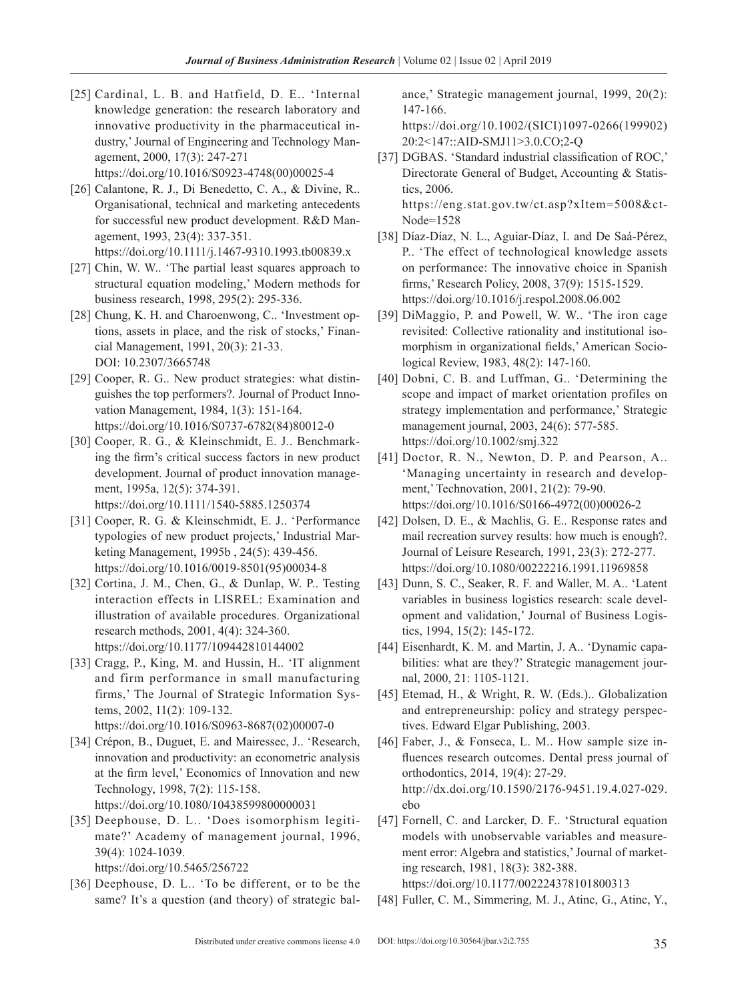[25] Cardinal, L. B. and Hatfield, D. E.. 'Internal knowledge generation: the research laboratory and innovative productivity in the pharmaceutical industry,'Journal of Engineering and Technology Management, 2000, 17(3): 247-271 [https://doi.org/10.1016/S0923-4748\(00\)00025-4](https://doi.org/10.1016/S0923-4748(00)00025-4) 

[26] Calantone, R. J., Di Benedetto, C. A., & Divine, R..

- Organisational, technical and marketing antecedents for successful new product development. R&D Management, 1993, 23(4): 337-351. <https://doi.org/10.1111/j.1467-9310.1993.tb00839.x>
- [27] Chin, W. W.. 'The partial least squares approach to structural equation modeling,' Modern methods for business research, 1998, 295(2): 295-336.
- [28] Chung, K. H. and Charoenwong, C.. 'Investment options, assets in place, and the risk of stocks,' Financial Management, 1991, 20(3): 21-33. DOI: 10.2307/3665748
- [29] Cooper, R. G.. New product strategies: what distinguishes the top performers?. Journal of Product Innovation Management, 1984, 1(3): 151-164. [https://doi.org/10.1016/S0737-6782\(84\)80012-0](https://doi.org/10.1016/S0737-6782(84)80012-0)
- [30] Cooper, R. G., & Kleinschmidt, E. J.. Benchmarking the firm's critical success factors in new product development. Journal of product innovation management, 1995a, 12(5): 374-391. <https://doi.org/10.1111/1540-5885.1250374>

[31] Cooper, R. G. & Kleinschmidt, E. J.. 'Performance typologies of new product projects,' Industrial Marketing Management, 1995b , 24(5): 439-456. [https://doi.org/10.1016/0019-8501\(95\)00034-8](https://doi.org/10.1016/0019-8501(95)00034-8)

[32] Cortina, J. M., Chen, G., & Dunlap, W. P.. Testing interaction effects in LISREL: Examination and illustration of available procedures. Organizational research methods, 2001, 4(4): 324-360. <https://doi.org/10.1177/109442810144002>

- [33] Cragg, P., King, M. and Hussin, H.. 'IT alignment and firm performance in small manufacturing firms,' The Journal of Strategic Information Systems, 2002, 11(2): 109-132. [https://doi.org/10.1016/S0963-8687\(02\)00007-0](https://doi.org/10.1016/S0963-8687(02)00007-0)
- [34] Crépon, B., Duguet, E. and Mairessec, J.. 'Research, innovation and productivity: an econometric analysis at the firm level,' Economics of Innovation and new Technology, 1998, 7(2): 115-158. <https://doi.org/10.1080/10438599800000031>
- [35] Deephouse, D. L.. 'Does isomorphism legitimate?' Academy of management journal, 1996, 39(4): 1024-1039. <https://doi.org/10.5465/256722>
- [36] Deephouse, D. L.. 'To be different, or to be the same? It's a question (and theory) of strategic bal-

ance,' Strategic management journal, 1999, 20(2): 147-166.

[https://doi.org/10.1002/\(SICI\)1097-0266\(199902\)](https://doi.org/10.1002/(SICI)1097-0266(199902)20:2<147::AID-SMJ11>3.0.CO;2-Q) [20:2<147::AID-SMJ11>3.0.CO;2-Q](https://doi.org/10.1002/(SICI)1097-0266(199902)20:2<147::AID-SMJ11>3.0.CO;2-Q)

- [37] DGBAS. 'Standard industrial classification of ROC,' Directorate General of Budget, Accounting & Statistics, 2006. [https://eng.stat.gov.tw/ct.asp?xItem=5008&ct-](https://eng.stat.gov.tw/ct.asp?xItem=5008&ctNode=1528)[Node=1528](https://eng.stat.gov.tw/ct.asp?xItem=5008&ctNode=1528)
- [38] Díaz-Díaz, N. L., Aguiar-Díaz, I. and De Saá-Pérez, P.. 'The effect of technological knowledge assets on performance: The innovative choice in Spanish firms,' Research Policy, 2008, 37(9): 1515-1529. <https://doi.org/10.1016/j.respol.2008.06.002>
- [39] DiMaggio, P. and Powell, W. W.. 'The iron cage revisited: Collective rationality and institutional isomorphism in organizational fields,' American Sociological Review, 1983, 48(2): 147-160.
- [40] Dobni, C. B. and Luffman, G.. 'Determining the scope and impact of market orientation profiles on strategy implementation and performance,' Strategic management journal, 2003, 24(6): 577-585. <https://doi.org/10.1002/smj.322>
- [41] Doctor, R. N., Newton, D. P. and Pearson, A.. 'Managing uncertainty in research and development,' Technovation, 2001, 21(2): 79-90. [https://doi.org/10.1016/S0166-4972\(00\)00026-2](https://doi.org/10.1016/S0166-4972(00)00026-2)
- [42] Dolsen, D. E., & Machlis, G. E., Response rates and mail recreation survey results: how much is enough?. Journal of Leisure Research, 1991, 23(3): 272-277. <https://doi.org/10.1080/00222216.1991.11969858>
- [43] Dunn, S. C., Seaker, R. F. and Waller, M. A.. 'Latent variables in business logistics research: scale development and validation,' Journal of Business Logistics, 1994, 15(2): 145-172.
- [44] Eisenhardt, K. M. and Martin, J. A.. 'Dynamic capabilities: what are they?' Strategic management journal, 2000, 21: 1105-1121.
- [45] Etemad, H., & Wright, R. W. (Eds.).. Globalization and entrepreneurship: policy and strategy perspectives. Edward Elgar Publishing, 2003.
- [46] Faber, J., & Fonseca, L. M.. How sample size influences research outcomes. Dental press journal of orthodontics, 2014, 19(4): 27-29. [http://dx.doi.org/10.1590/2176-9451.19.4.027-029.](http://dx.doi.org/10.1590/2176-9451.19.4.027-029.ebo) [ebo](http://dx.doi.org/10.1590/2176-9451.19.4.027-029.ebo)
- [47] Fornell, C. and Larcker, D. F.. 'Structural equation models with unobservable variables and measurement error: Algebra and statistics,'Journal of marketing research, 1981, 18(3): 382-388. <https://doi.org/10.1177/002224378101800313>
- [48] Fuller, C. M., Simmering, M. J., Atinc, G., Atinc, Y.,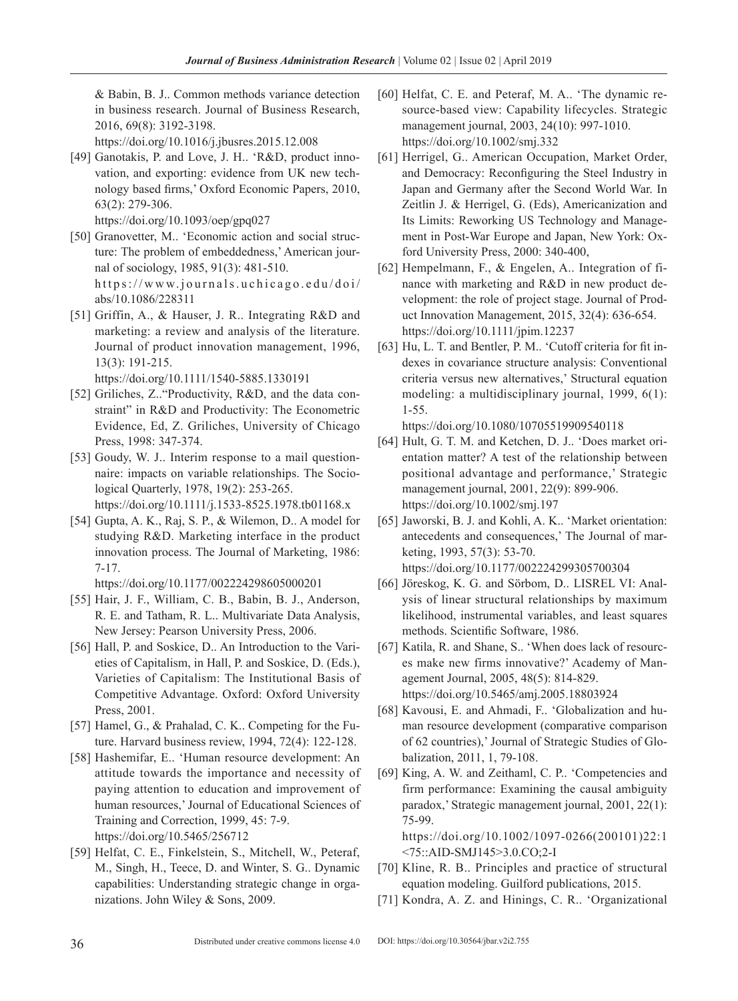& Babin, B. J.. Common methods variance detection in business research. Journal of Business Research, 2016, 69(8): 3192-3198.

<https://doi.org/10.1016/j.jbusres.2015.12.008>

- [49] Ganotakis, P. and Love, J. H.. 'R&D, product innovation, and exporting: evidence from UK new technology based firms,' Oxford Economic Papers, 2010, 63(2): 279-306.
	- <https://doi.org/10.1093/oep/gpq027>
- [50] Granovetter, M.. 'Economic action and social structure: The problem of embeddedness,' American journal of sociology, 1985, 91(3): 481-510. [https://www.journals.uchicago.edu/doi/](https://www.journals.uchicago.edu/doi/abs/10.1086/228311) [abs/10.1086/228311](https://www.journals.uchicago.edu/doi/abs/10.1086/228311)
- [51] Griffin, A., & Hauser, J. R.. Integrating R&D and marketing: a review and analysis of the literature. Journal of product innovation management, 1996, 13(3): 191-215.
	- <https://doi.org/10.1111/1540-5885.1330191>
- [52] Griliches, Z.. "Productivity, R&D, and the data constraint" in R&D and Productivity: The Econometric Evidence, Ed, Z. Griliches, University of Chicago Press, 1998: 347-374.
- [53] Goudy, W. J.. Interim response to a mail questionnaire: impacts on variable relationships. The Sociological Quarterly, 1978, 19(2): 253-265. <https://doi.org/10.1111/j.1533-8525.1978.tb01168.x>
- [54] Gupta, A. K., Raj, S. P., & Wilemon, D.. A model for studying R&D. Marketing interface in the product innovation process. The Journal of Marketing, 1986: 7-17.
- <https://doi.org/10.1177/002224298605000201> [55] Hair, J. F., William, C. B., Babin, B. J., Anderson, R. E. and Tatham, R. L.. Multivariate Data Analysis, New Jersey: Pearson University Press, 2006.
- [56] Hall, P. and Soskice, D.. An Introduction to the Varieties of Capitalism, in Hall, P. and Soskice, D. (Eds.), Varieties of Capitalism: The Institutional Basis of Competitive Advantage. Oxford: Oxford University Press, 2001.
- [57] Hamel, G., & Prahalad, C. K.. Competing for the Future. Harvard business review, 1994, 72(4): 122-128.
- [58] Hashemifar, E.. 'Human resource development: An attitude towards the importance and necessity of paying attention to education and improvement of human resources,' Journal of Educational Sciences of Training and Correction, 1999, 45: 7-9. <https://doi.org/10.5465/256712>
- [59] Helfat, C. E., Finkelstein, S., Mitchell, W., Peteraf, M., Singh, H., Teece, D. and Winter, S. G.. Dynamic capabilities: Understanding strategic change in organizations. John Wiley & Sons, 2009.
- [60] Helfat, C. E. and Peteraf, M. A.. 'The dynamic resource-based view: Capability lifecycles. Strategic management journal, 2003, 24(10): 997-1010. <https://doi.org/10.1002/smj.332>
- [61] Herrigel, G.. American Occupation, Market Order, and Democracy: Reconfiguring the Steel Industry in Japan and Germany after the Second World War. In Zeitlin J. & Herrigel, G. (Eds), Americanization and Its Limits: Reworking US Technology and Management in Post-War Europe and Japan, New York: Oxford University Press, 2000: 340-400,
- [62] Hempelmann, F., & Engelen, A.. Integration of finance with marketing and R&D in new product development: the role of project stage. Journal of Product Innovation Management, 2015, 32(4): 636-654. <https://doi.org/10.1111/jpim.12237>
- [63] Hu, L. T. and Bentler, P. M.. 'Cutoff criteria for fit indexes in covariance structure analysis: Conventional criteria versus new alternatives,' Structural equation modeling: a multidisciplinary journal, 1999, 6(1): 1-55.

<https://doi.org/10.1080/10705519909540118>

- [64] Hult, G. T. M. and Ketchen, D. J.. 'Does market orientation matter? A test of the relationship between positional advantage and performance,' Strategic management journal, 2001, 22(9): 899-906. <https://doi.org/10.1002/smj.197>
- [65] Jaworski, B. J. and Kohli, A. K.. 'Market orientation: antecedents and consequences,' The Journal of marketing, 1993, 57(3): 53-70. <https://doi.org/10.1177/002224299305700304>
- [66] Jöreskog, K. G. and Sörbom, D.. LISREL VI: Analysis of linear structural relationships by maximum likelihood, instrumental variables, and least squares methods. Scientific Software, 1986.
- [67] Katila, R. and Shane, S.. 'When does lack of resources make new firms innovative?' Academy of Management Journal, 2005, 48(5): 814-829. <https://doi.org/10.5465/amj.2005.18803924>
- [68] Kavousi, E. and Ahmadi, F.. 'Globalization and human resource development (comparative comparison of 62 countries),' Journal of Strategic Studies of Globalization, 2011, 1, 79-108.
- [69] King, A. W. and Zeithaml, C. P.. 'Competencies and firm performance: Examining the causal ambiguity paradox,' Strategic management journal, 2001, 22(1): 75-99.

[https://doi.org/10.1002/1097-0266\(200101\)22:1](https://doi.org/10.1002/1097-0266(200101)22:1<75::AID-SMJ145>3.0.CO;2-I) [<75::AID-SMJ145>3.0.CO;2-I](https://doi.org/10.1002/1097-0266(200101)22:1<75::AID-SMJ145>3.0.CO;2-I)

- [70] Kline, R. B.. Principles and practice of structural equation modeling. Guilford publications, 2015.
- [71] Kondra, A. Z. and Hinings, C. R.. 'Organizational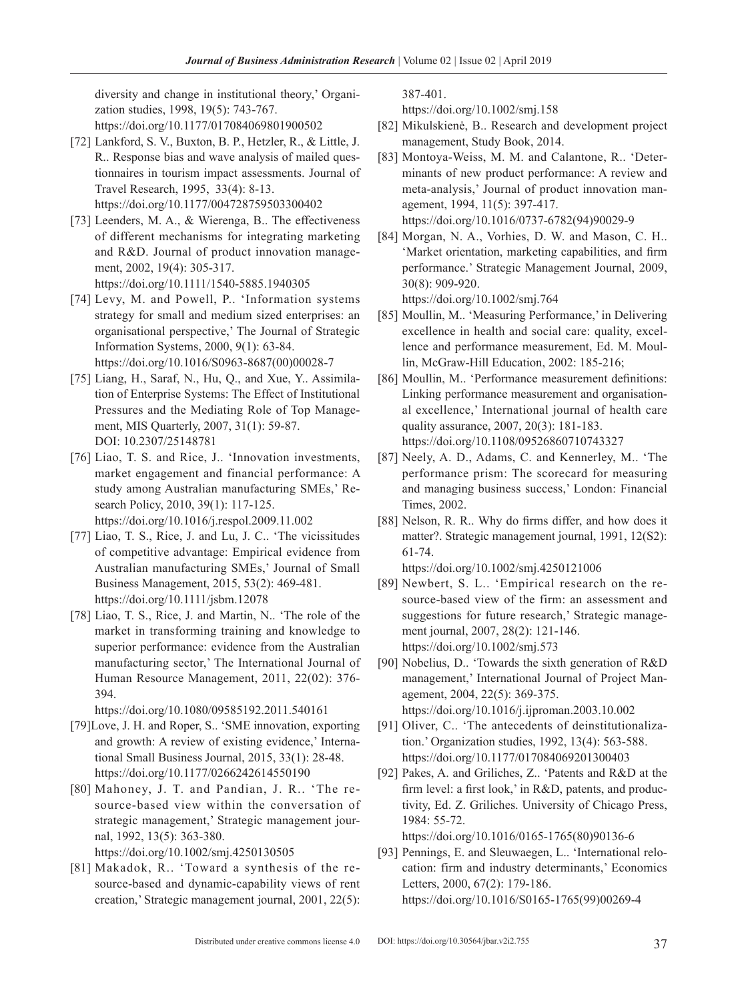diversity and change in institutional theory,' Organization studies, 1998, 19(5): 743-767. <https://doi.org/10.1177/017084069801900502>

- [72] Lankford, S. V., Buxton, B. P., Hetzler, R., & Little, J. R.. Response bias and wave analysis of mailed questionnaires in tourism impact assessments. Journal of Travel Research, 1995, 33(4): 8-13. <https://doi.org/10.1177/004728759503300402>
- [73] Leenders, M. A., & Wierenga, B.. The effectiveness of different mechanisms for integrating marketing and R&D. Journal of product innovation management, 2002, 19(4): 305-317. <https://doi.org/10.1111/1540-5885.1940305>
- [74] Levy, M. and Powell, P.. 'Information systems strategy for small and medium sized enterprises: an organisational perspective,' The Journal of Strategic Information Systems, 2000, 9(1): 63-84. [https://doi.org/10.1016/S0963-8687\(00\)00028-7](https://doi.org/10.1016/S0963-8687(00)00028-7)
- [75] Liang, H., Saraf, N., Hu, Q., and Xue, Y.. Assimilation of Enterprise Systems: The Effect of Institutional Pressures and the Mediating Role of Top Management, MIS Quarterly, 2007, 31(1): 59-87. DOI: 10.2307/25148781
- [76] Liao, T. S. and Rice, J.. 'Innovation investments, market engagement and financial performance: A study among Australian manufacturing SMEs,' Research Policy, 2010, 39(1): 117-125. <https://doi.org/10.1016/j.respol.2009.11.002>
- [77] Liao, T. S., Rice, J. and Lu, J. C.. 'The vicissitudes of competitive advantage: Empirical evidence from Australian manufacturing SMEs,' Journal of Small Business Management, 2015, 53(2): 469-481. <https://doi.org/10.1111/jsbm.12078>
- [78] Liao, T. S., Rice, J. and Martin, N.. 'The role of the market in transforming training and knowledge to superior performance: evidence from the Australian manufacturing sector,' The International Journal of Human Resource Management, 2011, 22(02): 376- 394.

<https://doi.org/10.1080/09585192.2011.540161>

- [79]Love, J. H. and Roper, S.. 'SME innovation, exporting and growth: A review of existing evidence,' International Small Business Journal, 2015, 33(1): 28-48. <https://doi.org/10.1177/0266242614550190>
- [80] Mahoney, J. T. and Pandian, J. R.. 'The resource-based view within the conversation of strategic management,' Strategic management journal, 1992, 13(5): 363-380. <https://doi.org/10.1002/smj.4250130505>
- [81] Makadok, R.. 'Toward a synthesis of the resource-based and dynamic-capability views of rent creation,' Strategic management journal, 2001, 22(5):

387-401.

<https://doi.org/10.1002/smj.158>

- [82] Mikulskienė, B.. Research and development project management, Study Book, 2014.
- [83] Montoya-Weiss, M. M. and Calantone, R.. 'Determinants of new product performance: A review and meta-analysis,' Journal of product innovation management, 1994, 11(5): 397-417. [https://doi.org/10.1016/0737-6782\(94\)90029-9](https://doi.org/10.1016/0737-6782(94)90029-9)
- [84] Morgan, N. A., Vorhies, D. W. and Mason, C. H.. 'Market orientation, marketing capabilities, and firm performance.' Strategic Management Journal, 2009, 30(8): 909-920.

<https://doi.org/10.1002/smj.764>

- [85] Moullin, M.. 'Measuring Performance,' in Delivering excellence in health and social care: quality, excellence and performance measurement, Ed. M. Moullin, McGraw-Hill Education, 2002: 185-216;
- [86] Moullin, M.. 'Performance measurement definitions: Linking performance measurement and organisational excellence,' International journal of health care quality assurance, 2007, 20(3): 181-183. <https://doi.org/10.1108/09526860710743327>
- [87] Neely, A. D., Adams, C. and Kennerley, M.. 'The performance prism: The scorecard for measuring and managing business success,' London: Financial Times, 2002.
- [88] Nelson, R. R.. Why do firms differ, and how does it matter?. Strategic management journal, 1991, 12(S2): 61-74.

<https://doi.org/10.1002/smj.4250121006>

- [89] Newbert, S. L.. 'Empirical research on the resource-based view of the firm: an assessment and suggestions for future research,' Strategic management journal, 2007, 28(2): 121-146. <https://doi.org/10.1002/smj.573>
- [90] Nobelius, D.. 'Towards the sixth generation of R&D management,' International Journal of Project Management, 2004, 22(5): 369-375. <https://doi.org/10.1016/j.ijproman.2003.10.002>
- [91] Oliver, C.. 'The antecedents of deinstitutionalization.' Organization studies, 1992, 13(4): 563-588. <https://doi.org/10.1177/017084069201300403>
- [92] Pakes, A. and Griliches, Z.. 'Patents and R&D at the firm level: a first look,' in R&D, patents, and productivity, Ed. Z. Griliches. University of Chicago Press, 1984: 55-72.

[https://doi.org/10.1016/0165-1765\(80\)90136-6](https://doi.org/10.1016/0165-1765(80)90136-6)

[93] Pennings, E. and Sleuwaegen, L.. 'International relocation: firm and industry determinants,' Economics Letters, 2000, 67(2): 179-186. [https://doi.org/10.1016/S0165-1765\(99\)00269-4](https://doi.org/10.1016/S0165-1765(99)00269-4)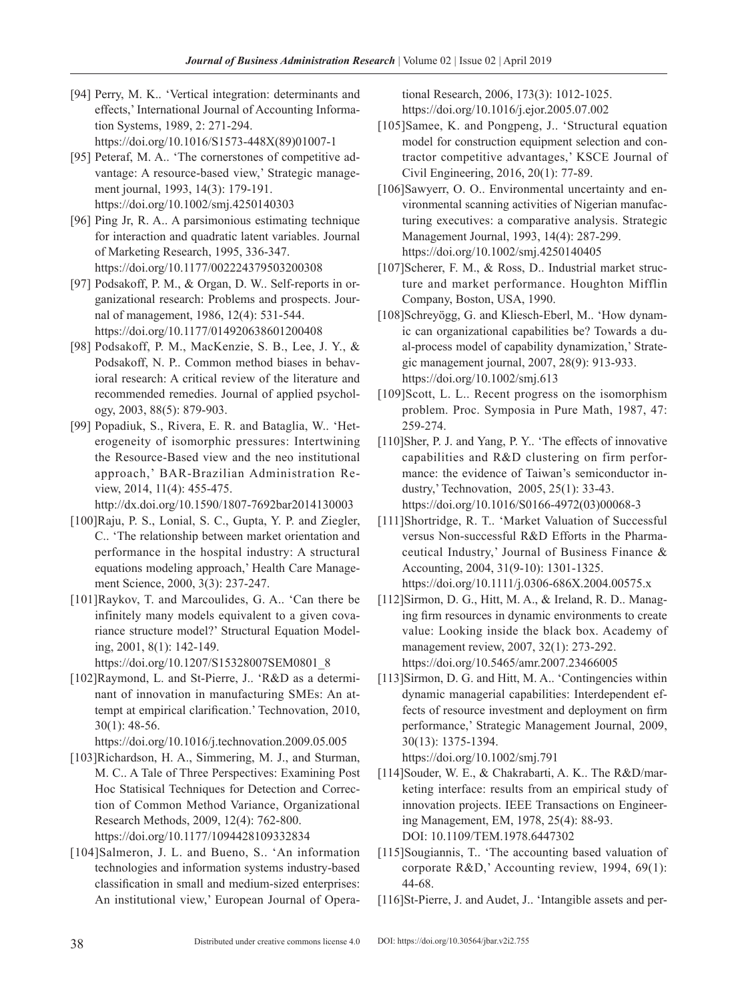- [94] Perry, M. K.. 'Vertical integration: determinants and effects,' International Journal of Accounting Information Systems, 1989, 2: 271-294. [https://doi.org/10.1016/S1573-448X\(89\)01007-1](https://doi.org/10.1016/S1573-448X(89)01007-1)
- [95] Peteraf, M. A.. 'The cornerstones of competitive advantage: A resource-based view,' Strategic management journal, 1993, 14(3): 179-191. <https://doi.org/10.1002/smj.4250140303>
- [96] Ping Jr, R. A.. A parsimonious estimating technique for interaction and quadratic latent variables. Journal of Marketing Research, 1995, 336-347. <https://doi.org/10.1177/002224379503200308>
- [97] Podsakoff, P. M., & Organ, D. W.. Self-reports in organizational research: Problems and prospects. Journal of management, 1986, 12(4): 531-544. <https://doi.org/10.1177/014920638601200408>
- [98] Podsakoff, P. M., MacKenzie, S. B., Lee, J. Y., & Podsakoff, N. P.. Common method biases in behavioral research: A critical review of the literature and recommended remedies. Journal of applied psychology, 2003, 88(5): 879-903.
- [99] Popadiuk, S., Rivera, E. R. and Bataglia, W.. 'Heterogeneity of isomorphic pressures: Intertwining the Resource-Based view and the neo institutional approach,' BAR-Brazilian Administration Review, 2014, 11(4): 455-475.

<http://dx.doi.org/10.1590/1807-7692bar2014130003>

- [100]Raju, P. S., Lonial, S. C., Gupta, Y. P. and Ziegler, C.. 'The relationship between market orientation and performance in the hospital industry: A structural equations modeling approach,' Health Care Management Science, 2000, 3(3): 237-247.
- [101]Raykov, T. and Marcoulides, G. A.. 'Can there be infinitely many models equivalent to a given covariance structure model?' Structural Equation Modeling, 2001, 8(1): 142-149. [https://doi.org/10.1207/S15328007SEM0801\\_8](https://doi.org/10.1207/S15328007SEM0801_8)
- [102]Raymond, L. and St-Pierre, J.. 'R&D as a determinant of innovation in manufacturing SMEs: An attempt at empirical clarification.' Technovation, 2010, 30(1): 48-56.

<https://doi.org/10.1016/j.technovation.2009.05.005>

- [103]Richardson, H. A., Simmering, M. J., and Sturman, M. C.. A Tale of Three Perspectives: Examining Post Hoc Statisical Techniques for Detection and Correction of Common Method Variance, Organizational Research Methods, 2009, 12(4): 762-800. <https://doi.org/10.1177/1094428109332834>
- [104]Salmeron, J. L. and Bueno, S.. 'An information technologies and information systems industry-based classification in small and medium-sized enterprises: An institutional view,' European Journal of Opera-

tional Research, 2006, 173(3): 1012-1025. <https://doi.org/10.1016/j.ejor.2005.07.002>

- [105]Samee, K. and Pongpeng, J.. 'Structural equation model for construction equipment selection and contractor competitive advantages,' KSCE Journal of Civil Engineering, 2016, 20(1): 77-89.
- [106]Sawyerr, O. O.. Environmental uncertainty and environmental scanning activities of Nigerian manufacturing executives: a comparative analysis. Strategic Management Journal, 1993, 14(4): 287-299. <https://doi.org/10.1002/smj.4250140405>
- [107]Scherer, F. M., & Ross, D.. Industrial market structure and market performance. Houghton Mifflin Company, Boston, USA, 1990.
- [108]Schreyögg, G. and Kliesch-Eberl, M.. 'How dynamic can organizational capabilities be? Towards a dual-process model of capability dynamization,' Strategic management journal, 2007, 28(9): 913-933. <https://doi.org/10.1002/smj.613>
- [109]Scott, L. L.. Recent progress on the isomorphism problem. Proc. Symposia in Pure Math, 1987, 47: 259-274.
- [110]Sher, P. J. and Yang, P. Y.. 'The effects of innovative capabilities and R&D clustering on firm performance: the evidence of Taiwan's semiconductor industry,' Technovation, 2005, 25(1): 33-43. [https://doi.org/10.1016/S0166-4972\(03\)00068-3](https://doi.org/10.1016/S0166-4972(03)00068-3)
- [111]Shortridge, R. T.. 'Market Valuation of Successful versus Non-successful R&D Efforts in the Pharmaceutical Industry,' Journal of Business Finance & Accounting, 2004, 31(9-10): 1301-1325. <https://doi.org/10.1111/j.0306-686X.2004.00575.x>
- [112]Sirmon, D. G., Hitt, M. A., & Ireland, R. D.. Managing firm resources in dynamic environments to create value: Looking inside the black box. Academy of management review, 2007, 32(1): 273-292. <https://doi.org/10.5465/amr.2007.23466005>
- [113]Sirmon, D. G. and Hitt, M. A.. 'Contingencies within dynamic managerial capabilities: Interdependent effects of resource investment and deployment on firm performance,' Strategic Management Journal, 2009, 30(13): 1375-1394. <https://doi.org/10.1002/smj.791>
- [114]Souder, W. E., & Chakrabarti, A. K.. The R&D/marketing interface: results from an empirical study of innovation projects. IEEE Transactions on Engineering Management, EM, 1978, 25(4): 88-93. DOI: 10.1109/TEM.1978.6447302
- [115]Sougiannis, T.. 'The accounting based valuation of corporate R&D,' Accounting review, 1994, 69(1): 44-68.
- [116]St-Pierre, J. and Audet, J.. 'Intangible assets and per-